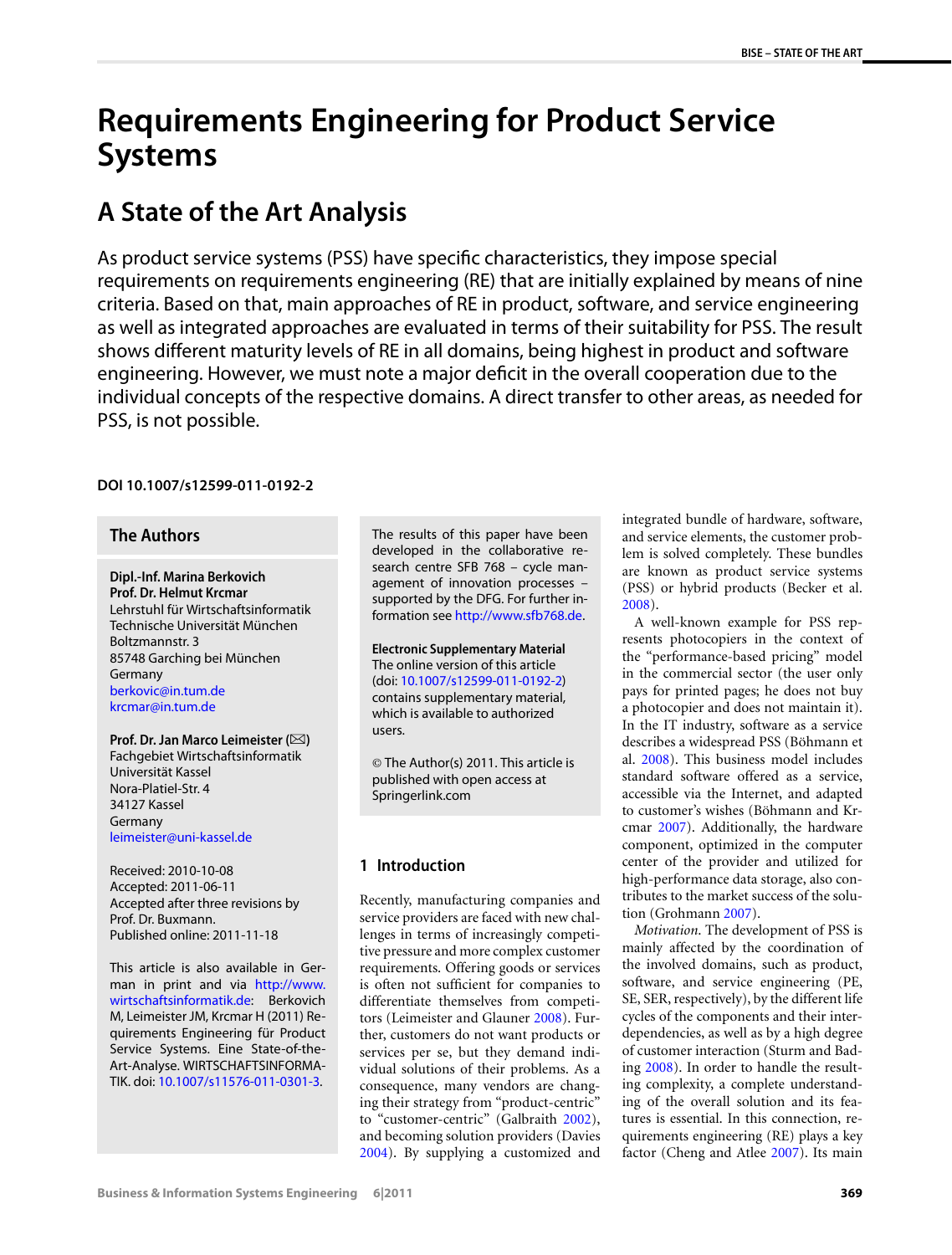# **Requirements Engineering for Product Service Systems**

## **A State of the Art Analysis**

As product service systems (PSS) have specific characteristics, they impose special requirements on requirements engineering (RE) that are initially explained by means of nine criteria. Based on that, main approaches of RE in product, software, and service engineering as well as integrated approaches are evaluated in terms of their suitability for PSS. The result shows different maturity levels of RE in all domains, being highest in product and software engineering. However, we must note a major deficit in the overall cooperation due to the individual concepts of the respective domains. A direct transfer to other areas, as needed for PSS, is not possible.

#### **DOI 10.1007/s12599-011-0192-2**

#### **The Authors**

**Dipl.-Inf. Marina Berkovich Prof. Dr. Helmut Krcmar** Lehrstuhl für Wirtschaftsinformatik Technische Universität München Boltzmannstr. 3 85748 Garching bei München Germany [berkovic@in.tum.de](mailto:berkovic@in.tum.de) [krcmar@in.tum.de](mailto:krcmar@in.tum.de)

**Prof. Dr. Jan Marco Leimeister (**-**)** Fachgebiet Wirtschaftsinformatik Universität Kassel Nora-Platiel-Str. 4 34127 Kassel Germany [leimeister@uni-kassel.de](mailto:leimeister@uni-kassel.de)

Received: 2010-10-08 Accepted: 2011-06-11 Accepted after three revisions by Prof. Dr. Buxmann. Published online: 2011-11-18

This article is also available in German in print and via [http://www.](http://www.wirtschaftsinformatik.de) [wirtschaftsinformatik.de:](http://www.wirtschaftsinformatik.de) Berkovich M, Leimeister JM, Krcmar H (2011) Requirements Engineering für Product Service Systems. Eine State-of-the-Art-Analyse. WIRTSCHAFTSINFORMA-TIK. doi: [10.1007/s11576-011-0301-3](http://dx.doi.org/10.1007/s11576-011-0301-3).

The results of this paper have been developed in the collaborative research centre SFB 768 – cycle management of innovation processes – supported by the DFG. For further information see <http://www.sfb768.de>.

**Electronic Supplementary Material** The online version of this article (doi: [10.1007/s12599-011-0192-2](http://dx.doi.org/10.1007/s12599-011-0192-2)) contains supplementary material, which is available to authorized users.

© The Author(s) 2011. This article is published with open access at Springerlink.com

### **1 Introduction**

Recently, manufacturing companies and service providers are faced with new challenges in terms of increasingly competitive pressure and more complex customer requirements. Offering goods or services is often not sufficient for companies to differentiate themselves from competitors (Leimeister and Glauner [2008](#page-11-0)). Further, customers do not want products or services per se, but they demand individual solutions of their problems. As a consequence, many vendors are changing their strategy from "product-centric" to "customer-centric" (Galbraith [2002](#page-11-1)), and becoming solution providers (Davies [2004](#page-11-2)). By supplying a customized and integrated bundle of hardware, software, and service elements, the customer problem is solved completely. These bundles are known as product service systems (PSS) or hybrid products (Becker et al. [2008](#page-10-0)).

A well-known example for PSS represents photocopiers in the context of the "performance-based pricing" model in the commercial sector (the user only pays for printed pages; he does not buy a photocopier and does not maintain it). In the IT industry, software as a service describes a widespread PSS (Böhmann et al. [2008\)](#page-10-1). This business model includes standard software offered as a service, accessible via the Internet, and adapted to customer's wishes (Böhmann and Krcmar [2007](#page-10-2)). Additionally, the hardware component, optimized in the computer center of the provider and utilized for high-performance data storage, also contributes to the market success of the solution (Grohmann [2007\)](#page-11-3).

*Motivation*. The development of PSS is mainly affected by the coordination of the involved domains, such as product, software, and service engineering (PE, SE, SER, respectively), by the different life cycles of the components and their interdependencies, as well as by a high degree of customer interaction (Sturm and Bading [2008](#page-11-4)). In order to handle the resulting complexity, a complete understanding of the overall solution and its features is essential. In this connection, requirements engineering (RE) plays a key factor (Cheng and Atlee [2007](#page-11-5)). Its main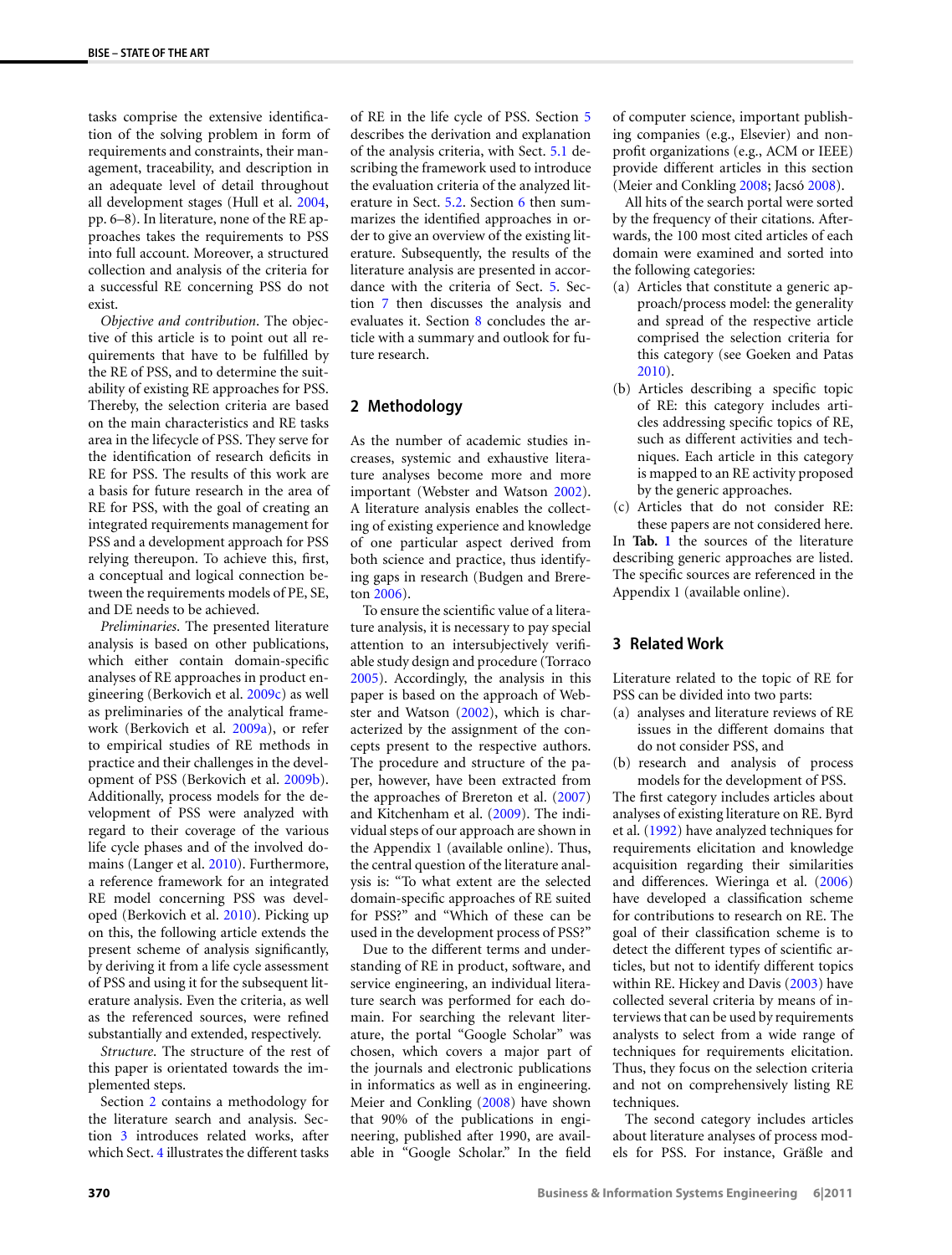tasks comprise the extensive identification of the solving problem in form of requirements and constraints, their management, traceability, and description in an adequate level of detail throughout all development stages (Hull et al. [2004,](#page-11-6) pp. 6–8). In literature, none of the RE approaches takes the requirements to PSS into full account. Moreover, a structured collection and analysis of the criteria for a successful RE concerning PSS do not exist.

<span id="page-1-0"></span>*Objective and contribution*. The objective of this article is to point out all requirements that have to be fulfilled by the RE of PSS, and to determine the suitability of existing RE approaches for PSS. Thereby, the selection criteria are based on the main characteristics and RE tasks area in the lifecycle of PSS. They serve for the identification of research deficits in RE for PSS. The results of this work are a basis for future research in the area of RE for PSS, with the goal of creating an integrated requirements management for PSS and a development approach for PSS relying thereupon. To achieve this, first, a conceptual and logical connection between the requirements models of PE, SE, and DE needs to be achieved.

*Preliminaries*. The presented literature analysis is based on other publications, which either contain domain-specific analyses of RE approaches in product engineering (Berkovich et al. [2009c](#page-10-3)) as well as preliminaries of the analytical framework (Berkovich et al. [2009a](#page-10-4)), or refer to empirical studies of RE methods in practice and their challenges in the development of PSS (Berkovich et al. [2009b](#page-10-5)). Additionally, process models for the development of PSS were analyzed with regard to their coverage of the various life cycle phases and of the involved domains (Langer et al. [2010\)](#page-11-7). Furthermore, a reference framework for an integrated RE model concerning PSS was developed (Berkovich et al. [2010](#page-10-6)). Picking up on this, the following article extends the present scheme of analysis significantly, by deriving it from a life cycle assessment of PSS and using it for the subsequent literature analysis. Even the criteria, as well as the referenced sources, were refined substantially and extended, respectively.

*Structure*. The structure of the rest of this paper is orientated towards the implemented steps.

Section [2](#page-1-0) contains a methodology for the literature search and analysis. Section [3](#page-1-1) introduces related works, after which Sect. [4](#page-2-0) illustrates the different tasks

of RE in the life cycle of PSS. Section [5](#page-3-0) describes the derivation and explanation of the analysis criteria, with Sect. [5.1](#page-3-1) describing the framework used to introduce the evaluation criteria of the analyzed literature in Sect. [5.2](#page-4-0). Section [6](#page-5-0) then summarizes the identified approaches in order to give an overview of the existing literature. Subsequently, the results of the literature analysis are presented in accordance with the criteria of Sect. [5.](#page-3-0) Section [7](#page-8-0) then discusses the analysis and evaluates it. Section [8](#page-9-0) concludes the article with a summary and outlook for future research.

#### **2 Methodology**

As the number of academic studies increases, systemic and exhaustive literature analyses become more and more important (Webster and Watson [2002](#page-11-8)). A literature analysis enables the collecting of existing experience and knowledge of one particular aspect derived from both science and practice, thus identifying gaps in research (Budgen and Brereton [2006](#page-11-9)).

To ensure the scientific value of a literature analysis, it is necessary to pay special attention to an intersubjectively verifiable study design and procedure (Torraco [2005](#page-11-10)). Accordingly, the analysis in this paper is based on the approach of Webster and Watson [\(2002](#page-11-8)), which is characterized by the assignment of the concepts present to the respective authors. The procedure and structure of the paper, however, have been extracted from the approaches of Brereton et al. [\(2007](#page-10-7)) and Kitchenham et al. ([2009\)](#page-11-11). The individual steps of our approach are shown in the Appendix 1 (available online). Thus, the central question of the literature analysis is: "To what extent are the selected domain-specific approaches of RE suited for PSS?" and "Which of these can be used in the development process of PSS?"

Due to the different terms and understanding of RE in product, software, and service engineering, an individual literature search was performed for each domain. For searching the relevant literature, the portal "Google Scholar" was chosen, which covers a major part of the journals and electronic publications in informatics as well as in engineering. Meier and Conkling ([2008\)](#page-11-12) have shown that 90% of the publications in engineering, published after 1990, are available in "Google Scholar." In the field of computer science, important publishing companies (e.g., Elsevier) and nonprofit organizations (e.g., ACM or IEEE) provide different articles in this section (Meier and Conkling [2008;](#page-11-12) Jacsó [2008\)](#page-11-13).

All hits of the search portal were sorted by the frequency of their citations. Afterwards, the 100 most cited articles of each domain were examined and sorted into the following categories:

- (a) Articles that constitute a generic approach/process model: the generality and spread of the respective article comprised the selection criteria for this category (see Goeken and Patas [2010\)](#page-11-14).
- (b) Articles describing a specific topic of RE: this category includes articles addressing specific topics of RE, such as different activities and techniques. Each article in this category is mapped to an RE activity proposed by the generic approaches.
- <span id="page-1-1"></span>(c) Articles that do not consider RE: these papers are not considered here. In **Tab. [1](#page-2-1)** the sources of the literature describing generic approaches are listed. The specific sources are referenced in the Appendix 1 (available online).

#### **3 Related Work**

Literature related to the topic of RE for PSS can be divided into two parts:

- (a) analyses and literature reviews of RE issues in the different domains that do not consider PSS, and
- (b) research and analysis of process models for the development of PSS.

The first category includes articles about analyses of existing literature on RE. Byrd et al. [\(1992](#page-11-15)) have analyzed techniques for requirements elicitation and knowledge acquisition regarding their similarities and differences. Wieringa et al. [\(2006\)](#page-11-16) have developed a classification scheme for contributions to research on RE. The goal of their classification scheme is to detect the different types of scientific articles, but not to identify different topics within RE. Hickey and Davis [\(2003](#page-11-17)) have collected several criteria by means of interviews that can be used by requirements analysts to select from a wide range of techniques for requirements elicitation. Thus, they focus on the selection criteria and not on comprehensively listing RE techniques.

The second category includes articles about literature analyses of process models for PSS. For instance, Gräßle and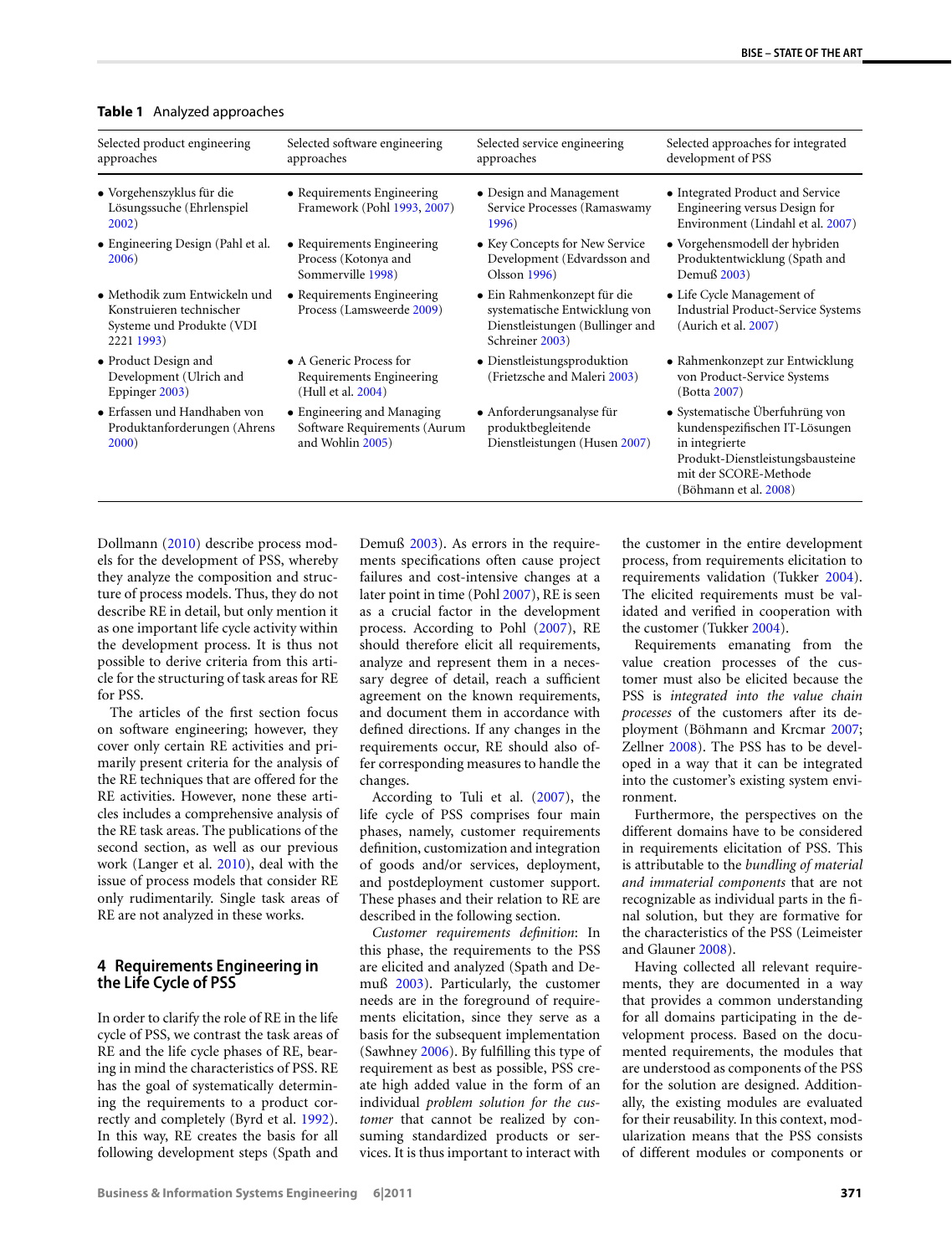| Selected product engineering<br>approaches                                                           | Selected software engineering<br>approaches                                    | Selected service engineering<br>approaches                                                                         | Selected approaches for integrated<br>development of PSS                                                                                                                  |
|------------------------------------------------------------------------------------------------------|--------------------------------------------------------------------------------|--------------------------------------------------------------------------------------------------------------------|---------------------------------------------------------------------------------------------------------------------------------------------------------------------------|
| · Vorgehenszyklus für die<br>Lösungssuche (Ehrlenspiel<br>2002)                                      | • Requirements Engineering<br>Framework (Pohl 1993, 2007)                      | • Design and Management<br>Service Processes (Ramaswamy<br>1996)                                                   | • Integrated Product and Service<br>Engineering versus Design for<br>Environment (Lindahl et al. 2007)                                                                    |
| • Engineering Design (Pahl et al.<br>2006)                                                           | • Requirements Engineering<br>Process (Kotonya and<br>Sommerville 1998)        | • Key Concepts for New Service<br>Development (Edvardsson and<br>Olsson $1996$                                     | • Vorgehensmodell der hybriden<br>Produktentwicklung (Spath and<br>Demuß 2003)                                                                                            |
| • Methodik zum Entwickeln und<br>Konstruieren technischer<br>Systeme und Produkte (VDI<br>2221 1993) | • Requirements Engineering<br>Process (Lamsweerde 2009)                        | • Ein Rahmenkonzept für die<br>systematische Entwicklung von<br>Dienstleistungen (Bullinger and<br>Schreiner 2003) | • Life Cycle Management of<br>Industrial Product-Service Systems<br>(Aurich et al. 2007)                                                                                  |
| • Product Design and<br>Development (Ulrich and<br>Eppinger 2003)                                    | • A Generic Process for<br>Requirements Engineering<br>(Hull et al. 2004)      | • Dienstleistungsproduktion<br>(Frietzsche and Maleri 2003)                                                        | • Rahmenkonzept zur Entwicklung<br>von Product-Service Systems<br>(Botta 2007)                                                                                            |
| • Erfassen und Handhaben von<br>Produktanforderungen (Ahrens<br>2000)                                | • Engineering and Managing<br>Software Requirements (Aurum<br>and Wohlin 2005) | • Anforderungsanalyse für<br>produktbegleitende<br>Dienstleistungen (Husen 2007)                                   | • Systematische Überfuhrüng von<br>kundenspezifischen IT-Lösungen<br>in integrierte<br>Produkt-Dienstleistungsbausteine<br>mit der SCORE-Methode<br>(Böhmann et al. 2008) |

#### <span id="page-2-1"></span>**Table 1** Analyzed approaches

Dollmann ([2010](#page-11-33)) describe process models for the development of PSS, whereby they analyze the composition and structure of process models. Thus, they do not describe RE in detail, but only mention it as one important life cycle activity within the development process. It is thus not possible to derive criteria from this article for the structuring of task areas for RE for PSS.

The articles of the first section focus on software engineering; however, they cover only certain RE activities and primarily present criteria for the analysis of the RE techniques that are offered for the RE activities. However, none these articles includes a comprehensive analysis of the RE task areas. The publications of the second section, as well as our previous work (Langer et al. [2010](#page-11-7)), deal with the issue of process models that consider RE only rudimentarily. Single task areas of RE are not analyzed in these works.

#### <span id="page-2-0"></span>**4 Requirements Engineering in the Life Cycle of PSS**

In order to clarify the role of RE in the life cycle of PSS, we contrast the task areas of RE and the life cycle phases of RE, bearing in mind the characteristics of PSS. RE has the goal of systematically determining the requirements to a product correctly and completely (Byrd et al. [1992](#page-11-15)). In this way, RE creates the basis for all following development steps (Spath and

Demuß [2003](#page-11-26)). As errors in the requirements specifications often cause project failures and cost-intensive changes at a later point in time (Pohl [2007](#page-11-20)), RE is seen as a crucial factor in the development process. According to Pohl [\(2007](#page-11-20)), RE should therefore elicit all requirements, analyze and represent them in a necessary degree of detail, reach a sufficient agreement on the known requirements, and document them in accordance with defined directions. If any changes in the requirements occur, RE should also offer corresponding measures to handle the changes.

According to Tuli et al. ([2007](#page-11-34)), the life cycle of PSS comprises four main phases, namely, customer requirements definition, customization and integration of goods and/or services, deployment, and postdeployment customer support. These phases and their relation to RE are described in the following section.

*Customer requirements definition*: In this phase, the requirements to the PSS are elicited and analyzed (Spath and Demuß [2003](#page-11-26)). Particularly, the customer needs are in the foreground of requirements elicitation, since they serve as a basis for the subsequent implementation (Sawhney [2006](#page-11-35)). By fulfilling this type of requirement as best as possible, PSS create high added value in the form of an individual *problem solution for the customer* that cannot be realized by consuming standardized products or services. It is thus important to interact with the customer in the entire development process, from requirements elicitation to requirements validation (Tukker [2004](#page-11-36)). The elicited requirements must be validated and verified in cooperation with the customer (Tukker [2004\)](#page-11-36).

Requirements emanating from the value creation processes of the customer must also be elicited because the PSS is *integrated into the value chain processes* of the customers after its deployment (Böhmann and Krcmar [2007;](#page-10-2) Zellner [2008](#page-11-37)). The PSS has to be developed in a way that it can be integrated into the customer's existing system environment.

Furthermore, the perspectives on the different domains have to be considered in requirements elicitation of PSS. This is attributable to the *bundling of material and immaterial components* that are not recognizable as individual parts in the final solution, but they are formative for the characteristics of the PSS (Leimeister and Glauner [2008\)](#page-11-0).

Having collected all relevant requirements, they are documented in a way that provides a common understanding for all domains participating in the development process. Based on the documented requirements, the modules that are understood as components of the PSS for the solution are designed. Additionally, the existing modules are evaluated for their reusability. In this context, modularization means that the PSS consists of different modules or components or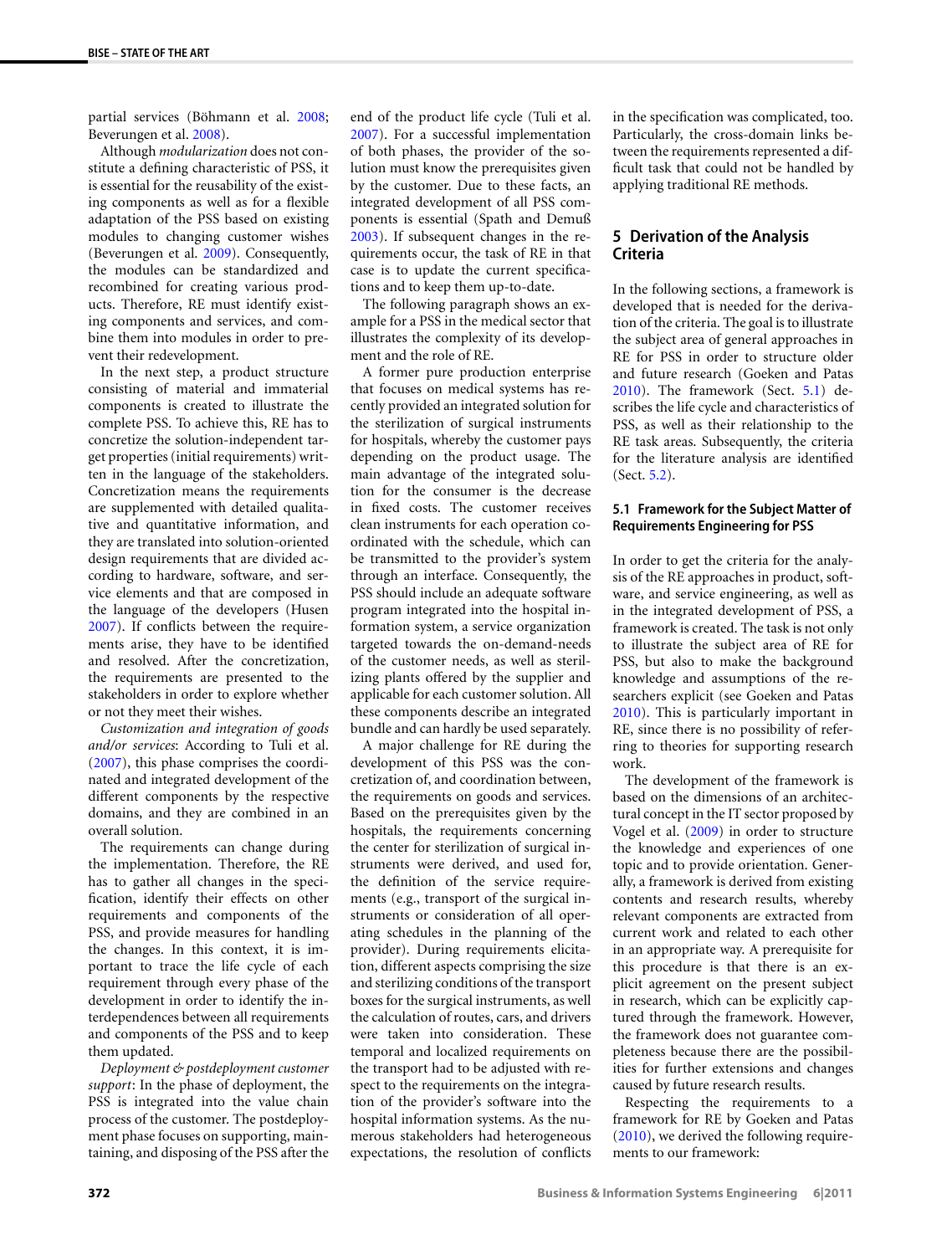partial services (Böhmann et al. [2008;](#page-10-1) Beverungen et al. [2008](#page-10-12)).

Although *modularization* does not constitute a defining characteristic of PSS, it is essential for the reusability of the existing components as well as for a flexible adaptation of the PSS based on existing modules to changing customer wishes (Beverungen et al. [2009](#page-10-13)). Consequently, the modules can be standardized and recombined for creating various products. Therefore, RE must identify existing components and services, and combine them into modules in order to prevent their redevelopment.

In the next step, a product structure consisting of material and immaterial components is created to illustrate the complete PSS. To achieve this, RE has to concretize the solution-independent target properties (initial requirements) written in the language of the stakeholders. Concretization means the requirements are supplemented with detailed qualitative and quantitative information, and they are translated into solution-oriented design requirements that are divided according to hardware, software, and service elements and that are composed in the language of the developers (Husen [2007](#page-11-32)). If conflicts between the requirements arise, they have to be identified and resolved. After the concretization, the requirements are presented to the stakeholders in order to explore whether or not they meet their wishes.

*Customization and integration of goods and/or services*: According to Tuli et al. [\(2007](#page-11-34)), this phase comprises the coordinated and integrated development of the different components by the respective domains, and they are combined in an overall solution.

The requirements can change during the implementation. Therefore, the RE has to gather all changes in the specification, identify their effects on other requirements and components of the PSS, and provide measures for handling the changes. In this context, it is important to trace the life cycle of each requirement through every phase of the development in order to identify the interdependences between all requirements and components of the PSS and to keep them updated.

*Deployment & postdeployment customer support*: In the phase of deployment, the PSS is integrated into the value chain process of the customer. The postdeployment phase focuses on supporting, maintaining, and disposing of the PSS after the

end of the product life cycle (Tuli et al. [2007](#page-11-34)). For a successful implementation of both phases, the provider of the solution must know the prerequisites given by the customer. Due to these facts, an integrated development of all PSS components is essential (Spath and Demuß [2003](#page-11-26)). If subsequent changes in the requirements occur, the task of RE in that case is to update the current specifications and to keep them up-to-date.

The following paragraph shows an example for a PSS in the medical sector that illustrates the complexity of its development and the role of RE.

A former pure production enterprise that focuses on medical systems has recently provided an integrated solution for the sterilization of surgical instruments for hospitals, whereby the customer pays depending on the product usage. The main advantage of the integrated solution for the consumer is the decrease in fixed costs. The customer receives clean instruments for each operation coordinated with the schedule, which can be transmitted to the provider's system through an interface. Consequently, the PSS should include an adequate software program integrated into the hospital information system, a service organization targeted towards the on-demand-needs of the customer needs, as well as sterilizing plants offered by the supplier and applicable for each customer solution. All these components describe an integrated bundle and can hardly be used separately.

A major challenge for RE during the development of this PSS was the concretization of, and coordination between, the requirements on goods and services. Based on the prerequisites given by the hospitals, the requirements concerning the center for sterilization of surgical instruments were derived, and used for, the definition of the service requirements (e.g., transport of the surgical instruments or consideration of all operating schedules in the planning of the provider). During requirements elicitation, different aspects comprising the size and sterilizing conditions of the transport boxes for the surgical instruments, as well the calculation of routes, cars, and drivers were taken into consideration. These temporal and localized requirements on the transport had to be adjusted with respect to the requirements on the integration of the provider's software into the hospital information systems. As the numerous stakeholders had heterogeneous expectations, the resolution of conflicts <span id="page-3-0"></span>in the specification was complicated, too. Particularly, the cross-domain links between the requirements represented a difficult task that could not be handled by applying traditional RE methods.

#### **5 Derivation of the Analysis Criteria**

In the following sections, a framework is developed that is needed for the derivation of the criteria. The goal is to illustrate the subject area of general approaches in RE for PSS in order to structure older and future research (Goeken and Patas [2010](#page-11-14)). The framework (Sect. [5.1\)](#page-3-1) describes the life cycle and characteristics of PSS, as well as their relationship to the RE task areas. Subsequently, the criteria for the literature analysis are identified (Sect. [5.2\)](#page-4-0).

#### <span id="page-3-1"></span>**5.1 Framework for the Subject Matter of Requirements Engineering for PSS**

In order to get the criteria for the analysis of the RE approaches in product, software, and service engineering, as well as in the integrated development of PSS, a framework is created. The task is not only to illustrate the subject area of RE for PSS, but also to make the background knowledge and assumptions of the researchers explicit (see Goeken and Patas [2010](#page-11-14)). This is particularly important in RE, since there is no possibility of referring to theories for supporting research work.

The development of the framework is based on the dimensions of an architectural concept in the IT sector proposed by Vogel et al. ([2009](#page-11-38)) in order to structure the knowledge and experiences of one topic and to provide orientation. Generally, a framework is derived from existing contents and research results, whereby relevant components are extracted from current work and related to each other in an appropriate way. A prerequisite for this procedure is that there is an explicit agreement on the present subject in research, which can be explicitly captured through the framework. However, the framework does not guarantee completeness because there are the possibilities for further extensions and changes caused by future research results.

Respecting the requirements to a framework for RE by Goeken and Patas [\(2010\)](#page-11-14), we derived the following requirements to our framework: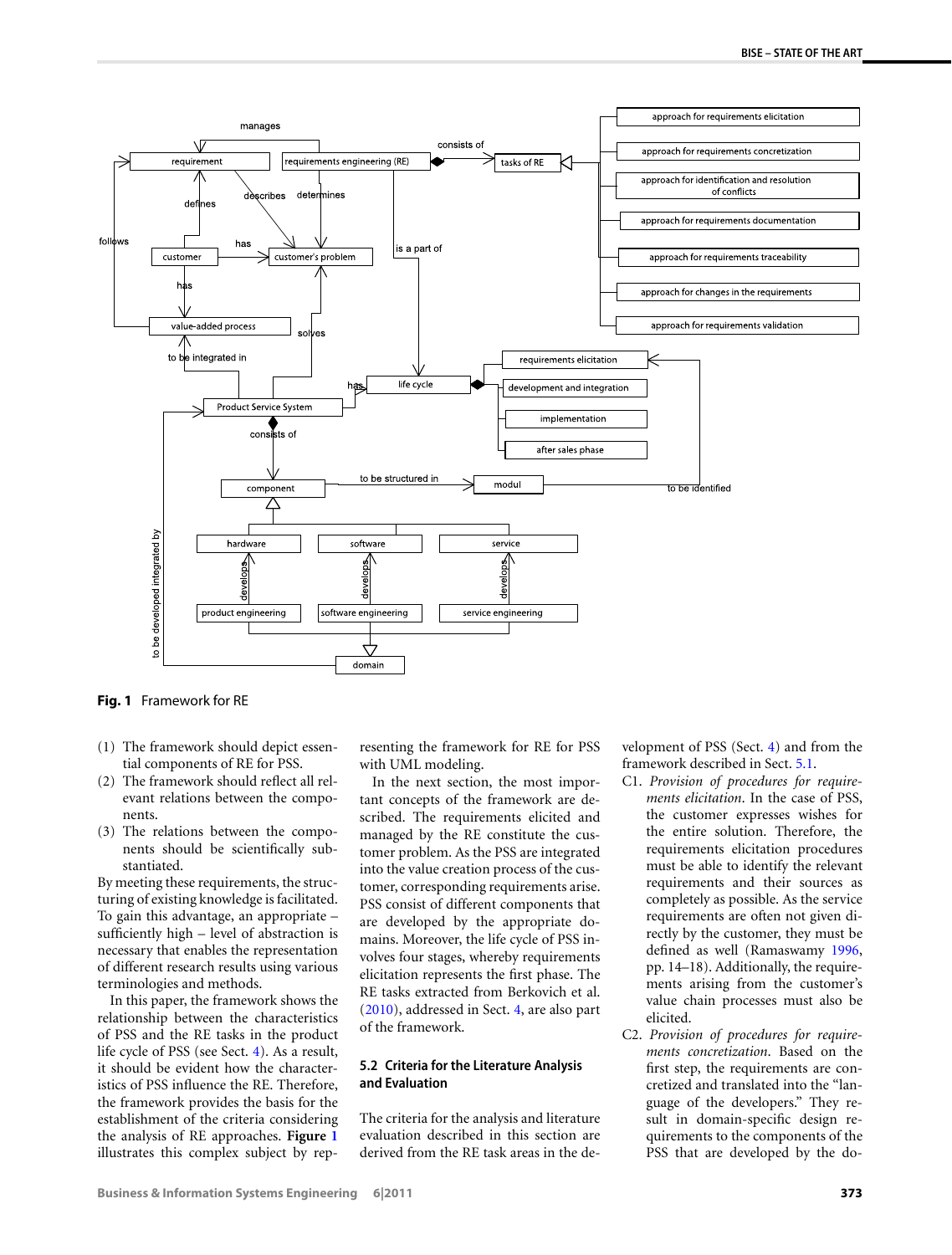

<span id="page-4-1"></span>**Fig. 1** Framework for RE

- (1) The framework should depict essential components of RE for PSS.
- (2) The framework should reflect all relevant relations between the components.
- (3) The relations between the components should be scientifically substantiated.

By meeting these requirements, the structuring of existing knowledge is facilitated. To gain this advantage, an appropriate – sufficiently high – level of abstraction is necessary that enables the representation of different research results using various terminologies and methods.

In this paper, the framework shows the relationship between the characteristics of PSS and the RE tasks in the product life cycle of PSS (see Sect. [4](#page-2-0)). As a result, it should be evident how the characteristics of PSS influence the RE. Therefore, the framework provides the basis for the establishment of the criteria considering the analysis of RE approaches. **Figure [1](#page-4-1)** illustrates this complex subject by representing the framework for RE for PSS with UML modeling.

In the next section, the most important concepts of the framework are described. The requirements elicited and managed by the RE constitute the customer problem. As the PSS are integrated into the value creation process of the customer, corresponding requirements arise. PSS consist of different components that are developed by the appropriate domains. Moreover, the life cycle of PSS involves four stages, whereby requirements elicitation represents the first phase. The RE tasks extracted from Berkovich et al. [\(2010\)](#page-10-6), addressed in Sect. [4,](#page-2-0) are also part of the framework.

#### <span id="page-4-0"></span>**5.2 Criteria for the Literature Analysis and Evaluation**

The criteria for the analysis and literature evaluation described in this section are derived from the RE task areas in the development of PSS (Sect. [4](#page-2-0)) and from the framework described in Sect. [5.1](#page-3-1).

- C1. *Provision of procedures for requirements elicitation*. In the case of PSS, the customer expresses wishes for the entire solution. Therefore, the requirements elicitation procedures must be able to identify the relevant requirements and their sources as completely as possible. As the service requirements are often not given directly by the customer, they must be defined as well (Ramaswamy [1996,](#page-11-21) pp. 14–18). Additionally, the requirements arising from the customer's value chain processes must also be elicited.
- C2. *Provision of procedures for requirements concretization*. Based on the first step, the requirements are concretized and translated into the "language of the developers." They result in domain-specific design requirements to the components of the PSS that are developed by the do-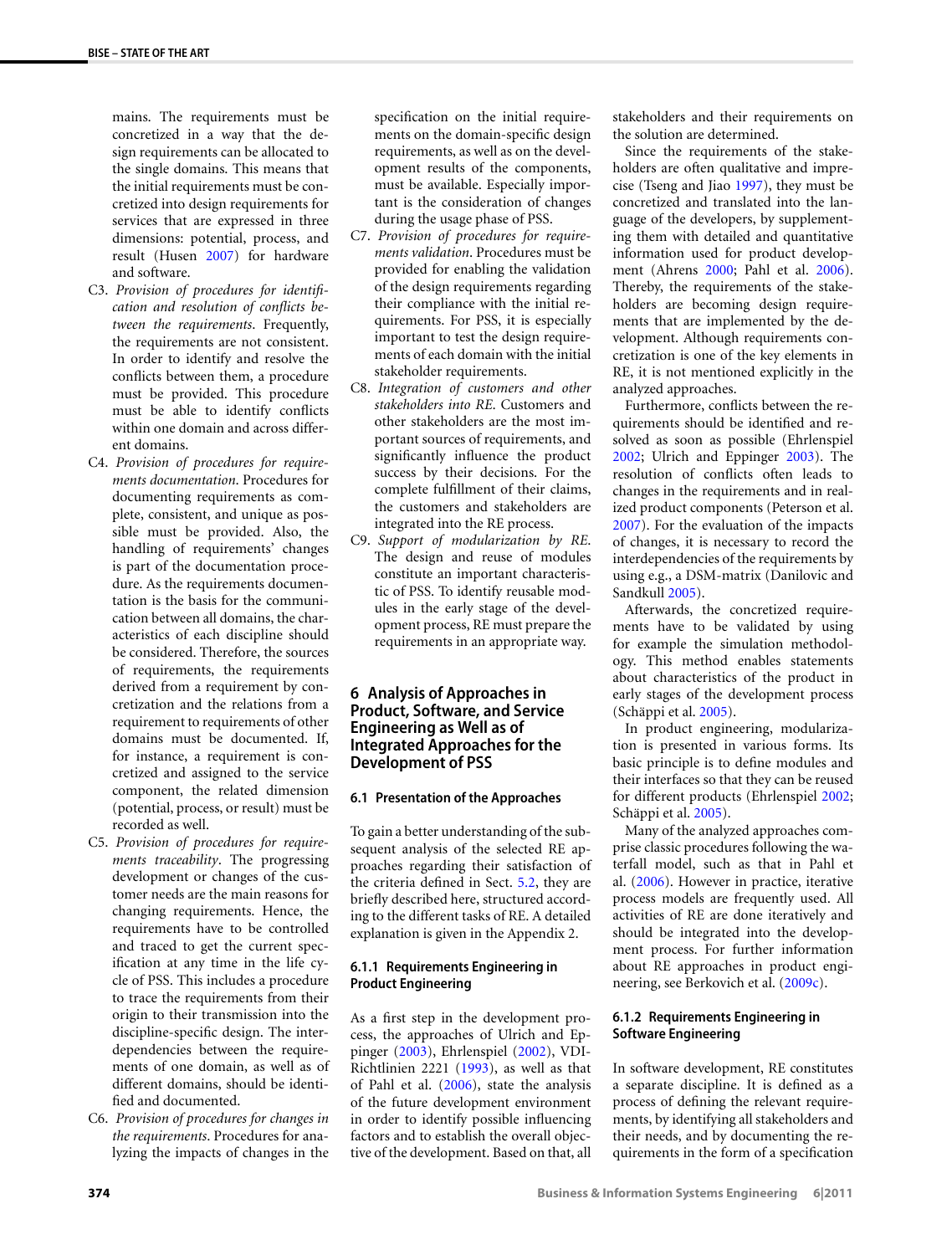mains. The requirements must be concretized in a way that the design requirements can be allocated to the single domains. This means that the initial requirements must be concretized into design requirements for services that are expressed in three dimensions: potential, process, and result (Husen [2007\)](#page-11-32) for hardware and software.

- C3. *Provision of procedures for identification and resolution of conflicts between the requirements*. Frequently, the requirements are not consistent. In order to identify and resolve the conflicts between them, a procedure must be provided. This procedure must be able to identify conflicts within one domain and across different domains.
- C4. *Provision of procedures for requirements documentation*. Procedures for documenting requirements as complete, consistent, and unique as possible must be provided. Also, the handling of requirements' changes is part of the documentation procedure. As the requirements documentation is the basis for the communication between all domains, the characteristics of each discipline should be considered. Therefore, the sources of requirements, the requirements derived from a requirement by concretization and the relations from a requirement to requirements of other domains must be documented. If, for instance, a requirement is concretized and assigned to the service component, the related dimension (potential, process, or result) must be recorded as well.
- C5. *Provision of procedures for requirements traceability*. The progressing development or changes of the customer needs are the main reasons for changing requirements. Hence, the requirements have to be controlled and traced to get the current specification at any time in the life cycle of PSS. This includes a procedure to trace the requirements from their origin to their transmission into the discipline-specific design. The interdependencies between the requirements of one domain, as well as of different domains, should be identified and documented.
- C6. *Provision of procedures for changes in the requirements*. Procedures for analyzing the impacts of changes in the

specification on the initial requirements on the domain-specific design requirements, as well as on the development results of the components, must be available. Especially important is the consideration of changes during the usage phase of PSS.

- C7. *Provision of procedures for requirements validation*. Procedures must be provided for enabling the validation of the design requirements regarding their compliance with the initial requirements. For PSS, it is especially important to test the design requirements of each domain with the initial stakeholder requirements.
- C8. *Integration of customers and other stakeholders into RE*. Customers and other stakeholders are the most important sources of requirements, and significantly influence the product success by their decisions. For the complete fulfillment of their claims, the customers and stakeholders are integrated into the RE process.
- C9. *Support of modularization by RE*. The design and reuse of modules constitute an important characteristic of PSS. To identify reusable modules in the early stage of the development process, RE must prepare the requirements in an appropriate way.

#### <span id="page-5-0"></span>**6 Analysis of Approaches in Product, Software, and Service Engineering as Well as of Integrated Approaches for the Development of PSS**

#### **6.1 Presentation of the Approaches**

To gain a better understanding of the subsequent analysis of the selected RE approaches regarding their satisfaction of the criteria defined in Sect. [5.2,](#page-4-0) they are briefly described here, structured according to the different tasks of RE. A detailed explanation is given in the Appendix 2.

#### **6.1.1 Requirements Engineering in Product Engineering**

As a first step in the development process, the approaches of Ulrich and Eppinger [\(2003](#page-11-30)), Ehrlenspiel ([2002](#page-11-18)), VDI-Richtlinien 2221 ([1993](#page-11-27)), as well as that of Pahl et al. [\(2006](#page-11-23)), state the analysis of the future development environment in order to identify possible influencing factors and to establish the overall objective of the development. Based on that, all

stakeholders and their requirements on the solution are determined.

Since the requirements of the stakeholders are often qualitative and imprecise (Tseng and Jiao [1997\)](#page-11-39), they must be concretized and translated into the language of the developers, by supplementing them with detailed and quantitative information used for product development (Ahrens [2000;](#page-10-10) Pahl et al. [2006](#page-11-23)). Thereby, the requirements of the stakeholders are becoming design requirements that are implemented by the development. Although requirements concretization is one of the key elements in RE, it is not mentioned explicitly in the analyzed approaches.

Furthermore, conflicts between the requirements should be identified and resolved as soon as possible (Ehrlenspiel [2002](#page-11-18); Ulrich and Eppinger [2003\)](#page-11-30). The resolution of conflicts often leads to changes in the requirements and in realized product components (Peterson et al. [2007](#page-11-40)). For the evaluation of the impacts of changes, it is necessary to record the interdependencies of the requirements by using e.g., a DSM-matrix (Danilovic and Sandkull [2005\)](#page-11-41).

Afterwards, the concretized requirements have to be validated by using for example the simulation methodology. This method enables statements about characteristics of the product in early stages of the development process (Schäppi et al. [2005\)](#page-11-42).

In product engineering, modularization is presented in various forms. Its basic principle is to define modules and their interfaces so that they can be reused for different products (Ehrlenspiel [2002;](#page-11-18) Schäppi et al. [2005](#page-11-42)).

Many of the analyzed approaches comprise classic procedures following the waterfall model, such as that in Pahl et al. [\(2006](#page-11-23)). However in practice, iterative process models are frequently used. All activities of RE are done iteratively and should be integrated into the development process. For further information about RE approaches in product engineering, see Berkovich et al. ([2009c\)](#page-10-3).

#### **6.1.2 Requirements Engineering in Software Engineering**

In software development, RE constitutes a separate discipline. It is defined as a process of defining the relevant requirements, by identifying all stakeholders and their needs, and by documenting the requirements in the form of a specification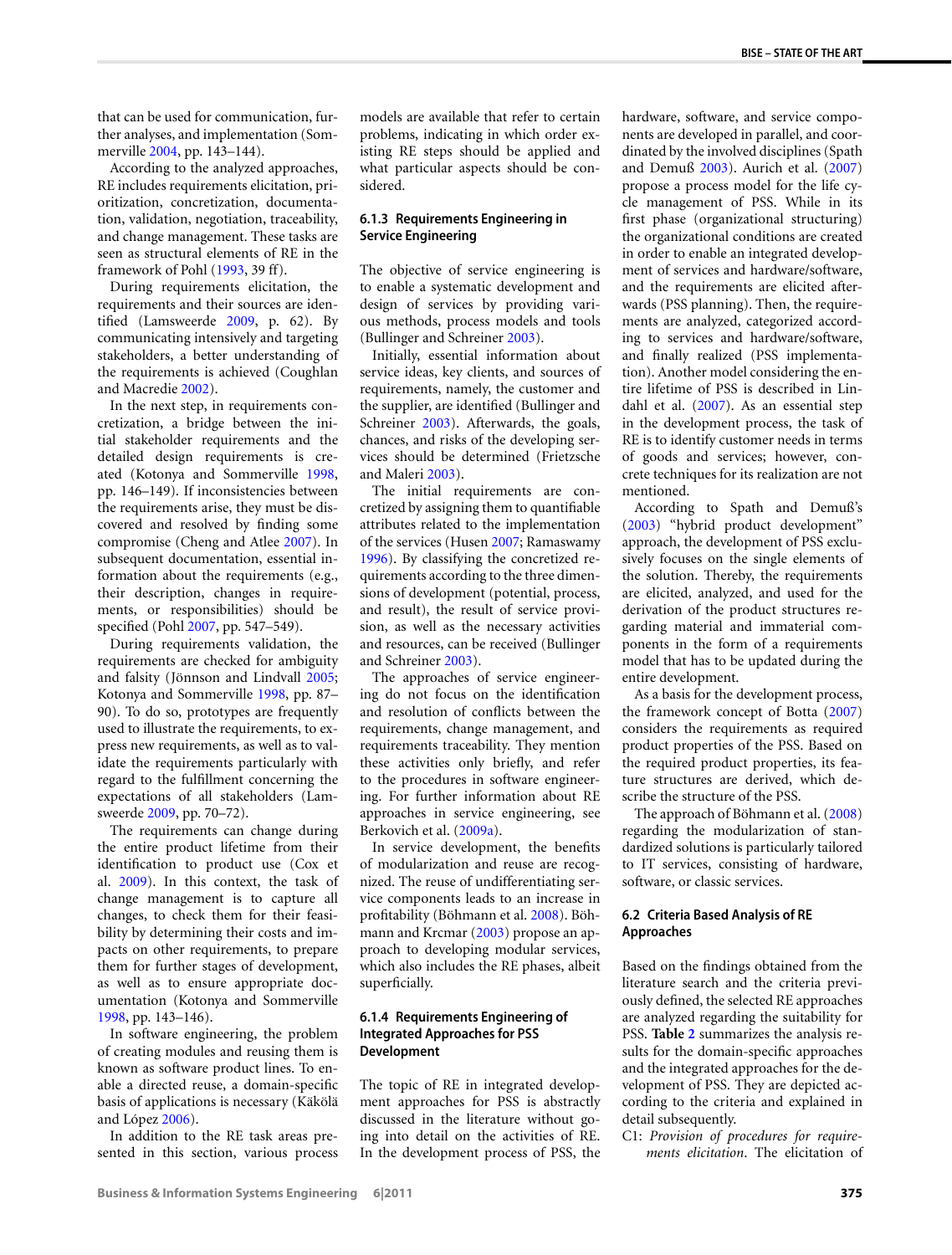that can be used for communication, further analyses, and implementation (Sommerville [2004](#page-11-43), pp. 143–144).

According to the analyzed approaches, RE includes requirements elicitation, prioritization, concretization, documentation, validation, negotiation, traceability, and change management. These tasks are seen as structural elements of RE in the framework of Pohl [\(1993](#page-11-19), 39 ff).

During requirements elicitation, the requirements and their sources are identified (Lamsweerde [2009](#page-11-28), p. 62). By communicating intensively and targeting stakeholders, a better understanding of the requirements is achieved (Coughlan and Macredie [2002\)](#page-11-44).

In the next step, in requirements concretization, a bridge between the initial stakeholder requirements and the detailed design requirements is created (Kotonya and Sommerville [1998,](#page-11-24) pp. 146–149). If inconsistencies between the requirements arise, they must be discovered and resolved by finding some compromise (Cheng and Atlee [2007](#page-11-5)). In subsequent documentation, essential information about the requirements (e.g., their description, changes in requirements, or responsibilities) should be specified (Pohl [2007](#page-11-20), pp. 547–549).

During requirements validation, the requirements are checked for ambiguity and falsity (Jönnson and Lindvall [2005;](#page-11-45) Kotonya and Sommerville [1998,](#page-11-24) pp. 87– 90). To do so, prototypes are frequently used to illustrate the requirements, to express new requirements, as well as to validate the requirements particularly with regard to the fulfillment concerning the expectations of all stakeholders (Lamsweerde [2009](#page-11-28), pp. 70–72).

The requirements can change during the entire product lifetime from their identification to product use (Cox et al. [2009\)](#page-11-46). In this context, the task of change management is to capture all changes, to check them for their feasibility by determining their costs and impacts on other requirements, to prepare them for further stages of development, as well as to ensure appropriate documentation (Kotonya and Sommerville [1998,](#page-11-24) pp. 143–146).

In software engineering, the problem of creating modules and reusing them is known as software product lines. To enable a directed reuse, a domain-specific basis of applications is necessary (Käkölä and López [2006](#page-11-47)).

In addition to the RE task areas presented in this section, various process models are available that refer to certain problems, indicating in which order existing RE steps should be applied and what particular aspects should be considered.

#### **6.1.3 Requirements Engineering in Service Engineering**

The objective of service engineering is to enable a systematic development and design of services by providing various methods, process models and tools (Bullinger and Schreiner [2003](#page-11-29)).

Initially, essential information about service ideas, key clients, and sources of requirements, namely, the customer and the supplier, are identified (Bullinger and Schreiner [2003](#page-11-29)). Afterwards, the goals, chances, and risks of the developing services should be determined (Frietzsche and Maleri [2003\)](#page-11-31).

The initial requirements are concretized by assigning them to quantifiable attributes related to the implementation of the services (Husen [2007;](#page-11-32) Ramaswamy [1996](#page-11-21)). By classifying the concretized requirements according to the three dimensions of development (potential, process, and result), the result of service provision, as well as the necessary activities and resources, can be received (Bullinger and Schreiner [2003\)](#page-11-29).

The approaches of service engineering do not focus on the identification and resolution of conflicts between the requirements, change management, and requirements traceability. They mention these activities only briefly, and refer to the procedures in software engineering. For further information about RE approaches in service engineering, see Berkovich et al. ([2009a](#page-10-4)).

In service development, the benefits of modularization and reuse are recognized. The reuse of undifferentiating service components leads to an increase in profitability (Böhmann et al. [2008](#page-10-1)). Böhmann and Krcmar ([2003](#page-10-14)) propose an approach to developing modular services, which also includes the RE phases, albeit superficially.

#### **6.1.4 Requirements Engineering of Integrated Approaches for PSS Development**

The topic of RE in integrated development approaches for PSS is abstractly discussed in the literature without going into detail on the activities of RE. In the development process of PSS, the hardware, software, and service components are developed in parallel, and coordinated by the involved disciplines (Spath and Demuß [2003](#page-11-26)). Aurich et al. [\(2007\)](#page-10-8) propose a process model for the life cycle management of PSS. While in its first phase (organizational structuring) the organizational conditions are created in order to enable an integrated development of services and hardware/software, and the requirements are elicited afterwards (PSS planning). Then, the requirements are analyzed, categorized according to services and hardware/software, and finally realized (PSS implementation). Another model considering the entire lifetime of PSS is described in Lindahl et al. [\(2007\)](#page-11-22). As an essential step in the development process, the task of RE is to identify customer needs in terms of goods and services; however, concrete techniques for its realization are not mentioned.

According to Spath and Demuß's [\(2003\)](#page-11-26) "hybrid product development" approach, the development of PSS exclusively focuses on the single elements of the solution. Thereby, the requirements are elicited, analyzed, and used for the derivation of the product structures regarding material and immaterial components in the form of a requirements model that has to be updated during the entire development.

As a basis for the development process, the framework concept of Botta [\(2007\)](#page-10-9) considers the requirements as required product properties of the PSS. Based on the required product properties, its feature structures are derived, which describe the structure of the PSS.

The approach of Böhmann et al. [\(2008\)](#page-10-1) regarding the modularization of standardized solutions is particularly tailored to IT services, consisting of hardware, software, or classic services.

#### **6.2 Criteria Based Analysis of RE Approaches**

Based on the findings obtained from the literature search and the criteria previously defined, the selected RE approaches are analyzed regarding the suitability for PSS. **Table [2](#page-7-0)** summarizes the analysis results for the domain-specific approaches and the integrated approaches for the development of PSS. They are depicted according to the criteria and explained in detail subsequently.

C1: *Provision of procedures for requirements elicitation*. The elicitation of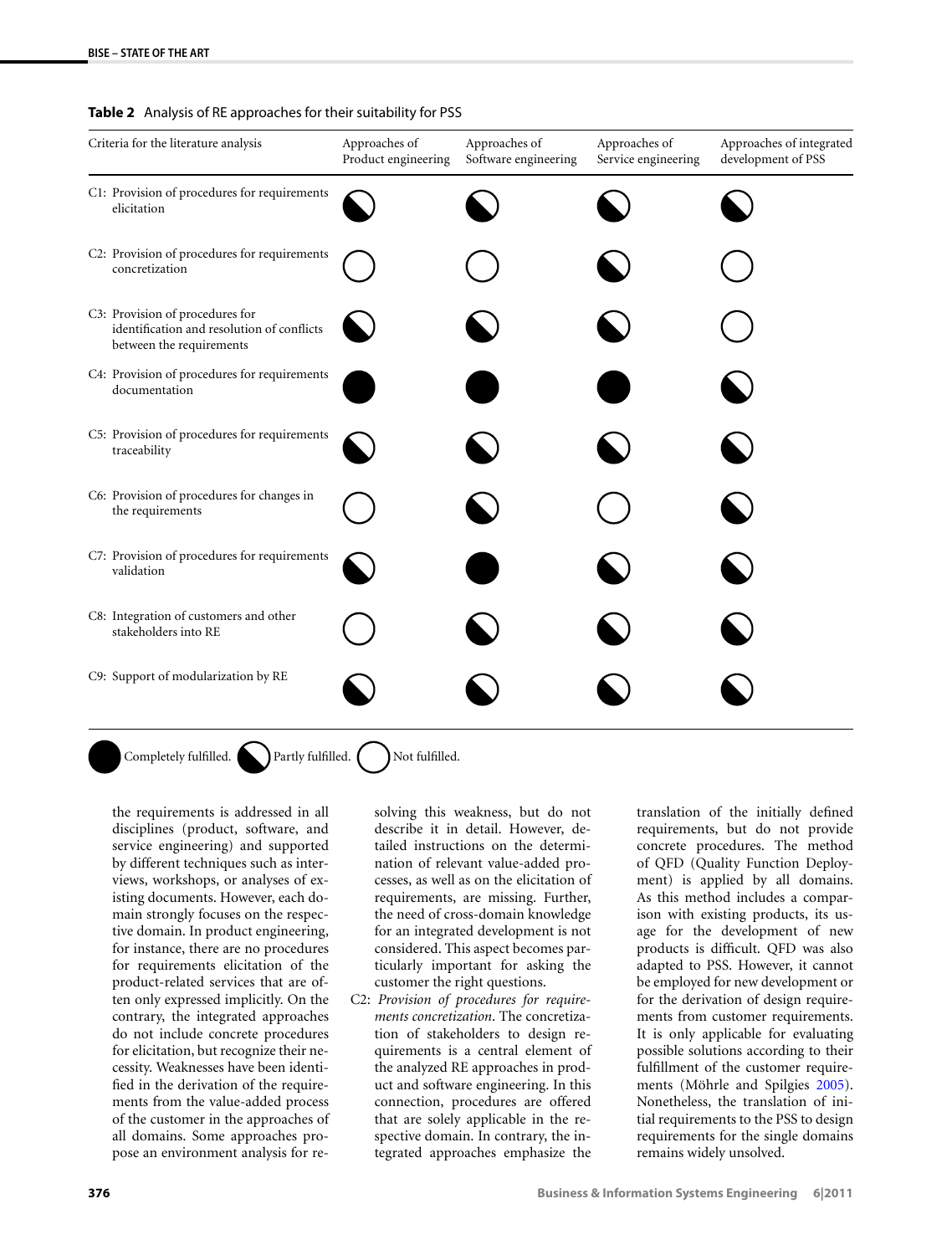<span id="page-7-0"></span>

|  | <b>Table 2</b> Analysis of RE approaches for their suitability for PSS |  |  |  |  |
|--|------------------------------------------------------------------------|--|--|--|--|
|--|------------------------------------------------------------------------|--|--|--|--|

| Criteria for the literature analysis                                                                      | Approaches of<br>Product engineering | Approaches of<br>Software engineering | Approaches of<br>Service engineering | Approaches of integrated<br>development of PSS |  |
|-----------------------------------------------------------------------------------------------------------|--------------------------------------|---------------------------------------|--------------------------------------|------------------------------------------------|--|
| C1: Provision of procedures for requirements<br>elicitation                                               |                                      |                                       |                                      |                                                |  |
| C2: Provision of procedures for requirements<br>concretization                                            |                                      |                                       |                                      |                                                |  |
| C3: Provision of procedures for<br>identification and resolution of conflicts<br>between the requirements |                                      |                                       |                                      |                                                |  |
| C4: Provision of procedures for requirements<br>documentation                                             |                                      |                                       |                                      |                                                |  |
| C5: Provision of procedures for requirements<br>traceability                                              |                                      |                                       |                                      |                                                |  |
| C6: Provision of procedures for changes in<br>the requirements                                            |                                      |                                       |                                      |                                                |  |
| C7: Provision of procedures for requirements<br>validation                                                |                                      |                                       |                                      |                                                |  |
| C8: Integration of customers and other<br>stakeholders into RE                                            |                                      |                                       |                                      |                                                |  |
| C9: Support of modularization by RE                                                                       |                                      |                                       |                                      |                                                |  |
|                                                                                                           |                                      |                                       |                                      |                                                |  |

Completely fulfilled. Partly fulfilled. Not fulfilled.

the requirements is addressed in all disciplines (product, software, and service engineering) and supported by different techniques such as interviews, workshops, or analyses of existing documents. However, each domain strongly focuses on the respective domain. In product engineering, for instance, there are no procedures for requirements elicitation of the product-related services that are often only expressed implicitly. On the contrary, the integrated approaches do not include concrete procedures for elicitation, but recognize their necessity. Weaknesses have been identified in the derivation of the requirements from the value-added process of the customer in the approaches of all domains. Some approaches propose an environment analysis for resolving this weakness, but do not describe it in detail. However, detailed instructions on the determination of relevant value-added processes, as well as on the elicitation of requirements, are missing. Further, the need of cross-domain knowledge for an integrated development is not considered. This aspect becomes particularly important for asking the customer the right questions.

C2: *Provision of procedures for requirements concretization*. The concretization of stakeholders to design requirements is a central element of the analyzed RE approaches in product and software engineering. In this connection, procedures are offered that are solely applicable in the respective domain. In contrary, the integrated approaches emphasize the translation of the initially defined requirements, but do not provide concrete procedures. The method of QFD (Quality Function Deployment) is applied by all domains. As this method includes a comparison with existing products, its usage for the development of new products is difficult. QFD was also adapted to PSS. However, it cannot be employed for new development or for the derivation of design requirements from customer requirements. It is only applicable for evaluating possible solutions according to their fulfillment of the customer requirements (Möhrle and Spilgies [2005](#page-11-48)). Nonetheless, the translation of initial requirements to the PSS to design requirements for the single domains remains widely unsolved.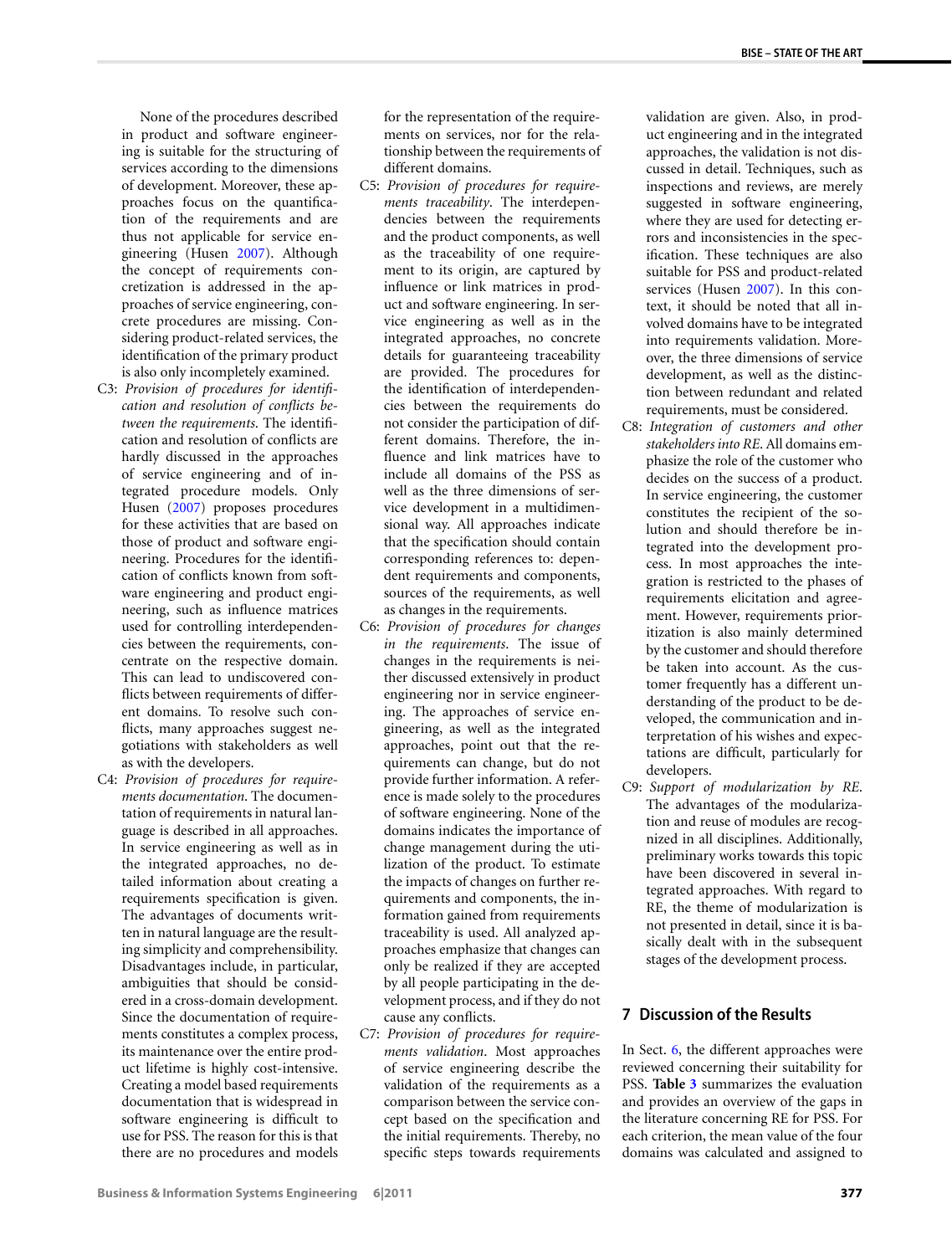None of the procedures described in product and software engineering is suitable for the structuring of services according to the dimensions of development. Moreover, these approaches focus on the quantification of the requirements and are thus not applicable for service engineering (Husen [2007\)](#page-11-32). Although the concept of requirements concretization is addressed in the approaches of service engineering, concrete procedures are missing. Considering product-related services, the identification of the primary product is also only incompletely examined.

- C3: *Provision of procedures for identification and resolution of conflicts between the requirements*. The identification and resolution of conflicts are hardly discussed in the approaches of service engineering and of integrated procedure models. Only Husen [\(2007](#page-11-32)) proposes procedures for these activities that are based on those of product and software engineering. Procedures for the identification of conflicts known from software engineering and product engineering, such as influence matrices used for controlling interdependencies between the requirements, concentrate on the respective domain. This can lead to undiscovered conflicts between requirements of different domains. To resolve such conflicts, many approaches suggest negotiations with stakeholders as well as with the developers.
- C4: *Provision of procedures for requirements documentation*. The documentation of requirements in natural language is described in all approaches. In service engineering as well as in the integrated approaches, no detailed information about creating a requirements specification is given. The advantages of documents written in natural language are the resulting simplicity and comprehensibility. Disadvantages include, in particular, ambiguities that should be considered in a cross-domain development. Since the documentation of requirements constitutes a complex process, its maintenance over the entire product lifetime is highly cost-intensive. Creating a model based requirements documentation that is widespread in software engineering is difficult to use for PSS. The reason for this is that there are no procedures and models

for the representation of the requirements on services, nor for the relationship between the requirements of different domains.

- C5: *Provision of procedures for requirements traceability*. The interdependencies between the requirements and the product components, as well as the traceability of one requirement to its origin, are captured by influence or link matrices in product and software engineering. In service engineering as well as in the integrated approaches, no concrete details for guaranteeing traceability are provided. The procedures for the identification of interdependencies between the requirements do not consider the participation of different domains. Therefore, the influence and link matrices have to include all domains of the PSS as well as the three dimensions of service development in a multidimensional way. All approaches indicate that the specification should contain corresponding references to: dependent requirements and components, sources of the requirements, as well as changes in the requirements.
- C6: *Provision of procedures for changes in the requirements*. The issue of changes in the requirements is neither discussed extensively in product engineering nor in service engineering. The approaches of service engineering, as well as the integrated approaches, point out that the requirements can change, but do not provide further information. A reference is made solely to the procedures of software engineering. None of the domains indicates the importance of change management during the utilization of the product. To estimate the impacts of changes on further requirements and components, the information gained from requirements traceability is used. All analyzed approaches emphasize that changes can only be realized if they are accepted by all people participating in the development process, and if they do not cause any conflicts.
- C7: *Provision of procedures for requirements validation*. Most approaches of service engineering describe the validation of the requirements as a comparison between the service concept based on the specification and the initial requirements. Thereby, no specific steps towards requirements

validation are given. Also, in product engineering and in the integrated approaches, the validation is not discussed in detail. Techniques, such as inspections and reviews, are merely suggested in software engineering, where they are used for detecting errors and inconsistencies in the specification. These techniques are also suitable for PSS and product-related services (Husen [2007](#page-11-32)). In this context, it should be noted that all involved domains have to be integrated into requirements validation. Moreover, the three dimensions of service development, as well as the distinction between redundant and related requirements, must be considered.

- C8: *Integration of customers and other stakeholders into RE*. All domains emphasize the role of the customer who decides on the success of a product. In service engineering, the customer constitutes the recipient of the solution and should therefore be integrated into the development process. In most approaches the integration is restricted to the phases of requirements elicitation and agreement. However, requirements prioritization is also mainly determined by the customer and should therefore be taken into account. As the customer frequently has a different understanding of the product to be developed, the communication and interpretation of his wishes and expectations are difficult, particularly for developers.
- <span id="page-8-0"></span>C9: *Support of modularization by RE*. The advantages of the modularization and reuse of modules are recognized in all disciplines. Additionally, preliminary works towards this topic have been discovered in several integrated approaches. With regard to RE, the theme of modularization is not presented in detail, since it is basically dealt with in the subsequent stages of the development process.

#### **7 Discussion of the Results**

In Sect. [6](#page-5-0), the different approaches were reviewed concerning their suitability for PSS. **Table [3](#page-9-1)** summarizes the evaluation and provides an overview of the gaps in the literature concerning RE for PSS. For each criterion, the mean value of the four domains was calculated and assigned to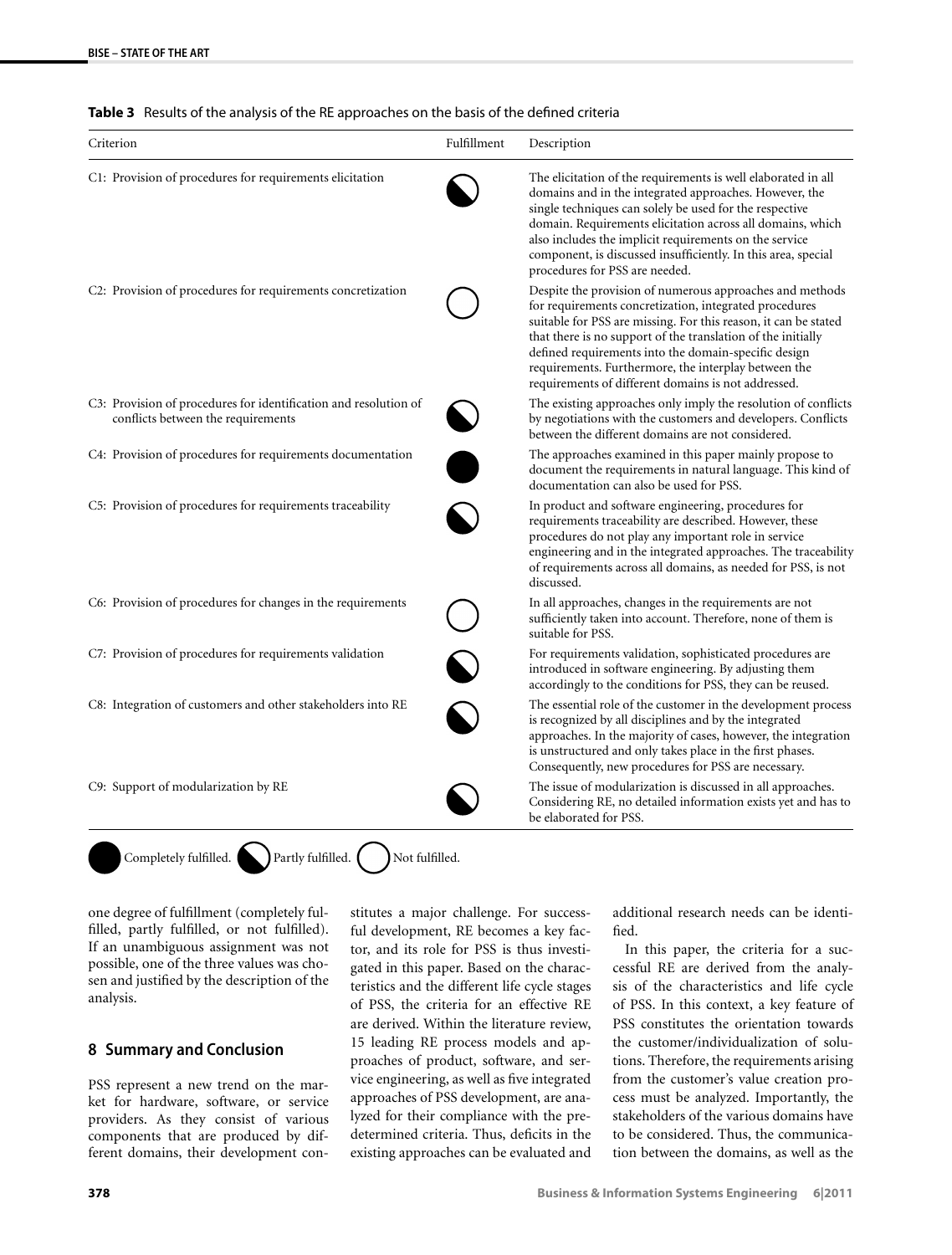| Criterion                                                                                              | Fulfillment | Description                                                                                                                                                                                                                                                                                                                                                                                                                  |
|--------------------------------------------------------------------------------------------------------|-------------|------------------------------------------------------------------------------------------------------------------------------------------------------------------------------------------------------------------------------------------------------------------------------------------------------------------------------------------------------------------------------------------------------------------------------|
| C1: Provision of procedures for requirements elicitation                                               |             | The elicitation of the requirements is well elaborated in all<br>domains and in the integrated approaches. However, the<br>single techniques can solely be used for the respective<br>domain. Requirements elicitation across all domains, which<br>also includes the implicit requirements on the service<br>component, is discussed insufficiently. In this area, special<br>procedures for PSS are needed.                |
| C2: Provision of procedures for requirements concretization                                            |             | Despite the provision of numerous approaches and methods<br>for requirements concretization, integrated procedures<br>suitable for PSS are missing. For this reason, it can be stated<br>that there is no support of the translation of the initially<br>defined requirements into the domain-specific design<br>requirements. Furthermore, the interplay between the<br>requirements of different domains is not addressed. |
| C3: Provision of procedures for identification and resolution of<br>conflicts between the requirements |             | The existing approaches only imply the resolution of conflicts<br>by negotiations with the customers and developers. Conflicts<br>between the different domains are not considered.                                                                                                                                                                                                                                          |
| C4: Provision of procedures for requirements documentation                                             |             | The approaches examined in this paper mainly propose to<br>document the requirements in natural language. This kind of<br>documentation can also be used for PSS.                                                                                                                                                                                                                                                            |
| C5: Provision of procedures for requirements traceability                                              |             | In product and software engineering, procedures for<br>requirements traceability are described. However, these<br>procedures do not play any important role in service<br>engineering and in the integrated approaches. The traceability<br>of requirements across all domains, as needed for PSS, is not<br>discussed.                                                                                                      |
| C6: Provision of procedures for changes in the requirements                                            |             | In all approaches, changes in the requirements are not<br>sufficiently taken into account. Therefore, none of them is<br>suitable for PSS.                                                                                                                                                                                                                                                                                   |
| C7: Provision of procedures for requirements validation                                                |             | For requirements validation, sophisticated procedures are<br>introduced in software engineering. By adjusting them<br>accordingly to the conditions for PSS, they can be reused.                                                                                                                                                                                                                                             |
| C8: Integration of customers and other stakeholders into RE                                            |             | The essential role of the customer in the development process<br>is recognized by all disciplines and by the integrated<br>approaches. In the majority of cases, however, the integration<br>is unstructured and only takes place in the first phases.<br>Consequently, new procedures for PSS are necessary.                                                                                                                |
| C9: Support of modularization by RE                                                                    |             | The issue of modularization is discussed in all approaches.<br>Considering RE, no detailed information exists yet and has to<br>be elaborated for PSS.                                                                                                                                                                                                                                                                       |

#### <span id="page-9-1"></span>**Table 3** Results of the analysis of the RE approaches on the basis of the defined criteria

Completely fulfilled. Partly fulfilled. Not fulfilled.

<span id="page-9-0"></span>one degree of fulfillment (completely fulfilled, partly fulfilled, or not fulfilled). If an unambiguous assignment was not possible, one of the three values was chosen and justified by the description of the analysis.

#### **8 Summary and Conclusion**

PSS represent a new trend on the market for hardware, software, or service providers. As they consist of various components that are produced by different domains, their development constitutes a major challenge. For successful development, RE becomes a key factor, and its role for PSS is thus investigated in this paper. Based on the characteristics and the different life cycle stages of PSS, the criteria for an effective RE are derived. Within the literature review, 15 leading RE process models and approaches of product, software, and service engineering, as well as five integrated approaches of PSS development, are analyzed for their compliance with the predetermined criteria. Thus, deficits in the existing approaches can be evaluated and

additional research needs can be identified.

In this paper, the criteria for a successful RE are derived from the analysis of the characteristics and life cycle of PSS. In this context, a key feature of PSS constitutes the orientation towards the customer/individualization of solutions. Therefore, the requirements arising from the customer's value creation process must be analyzed. Importantly, the stakeholders of the various domains have to be considered. Thus, the communication between the domains, as well as the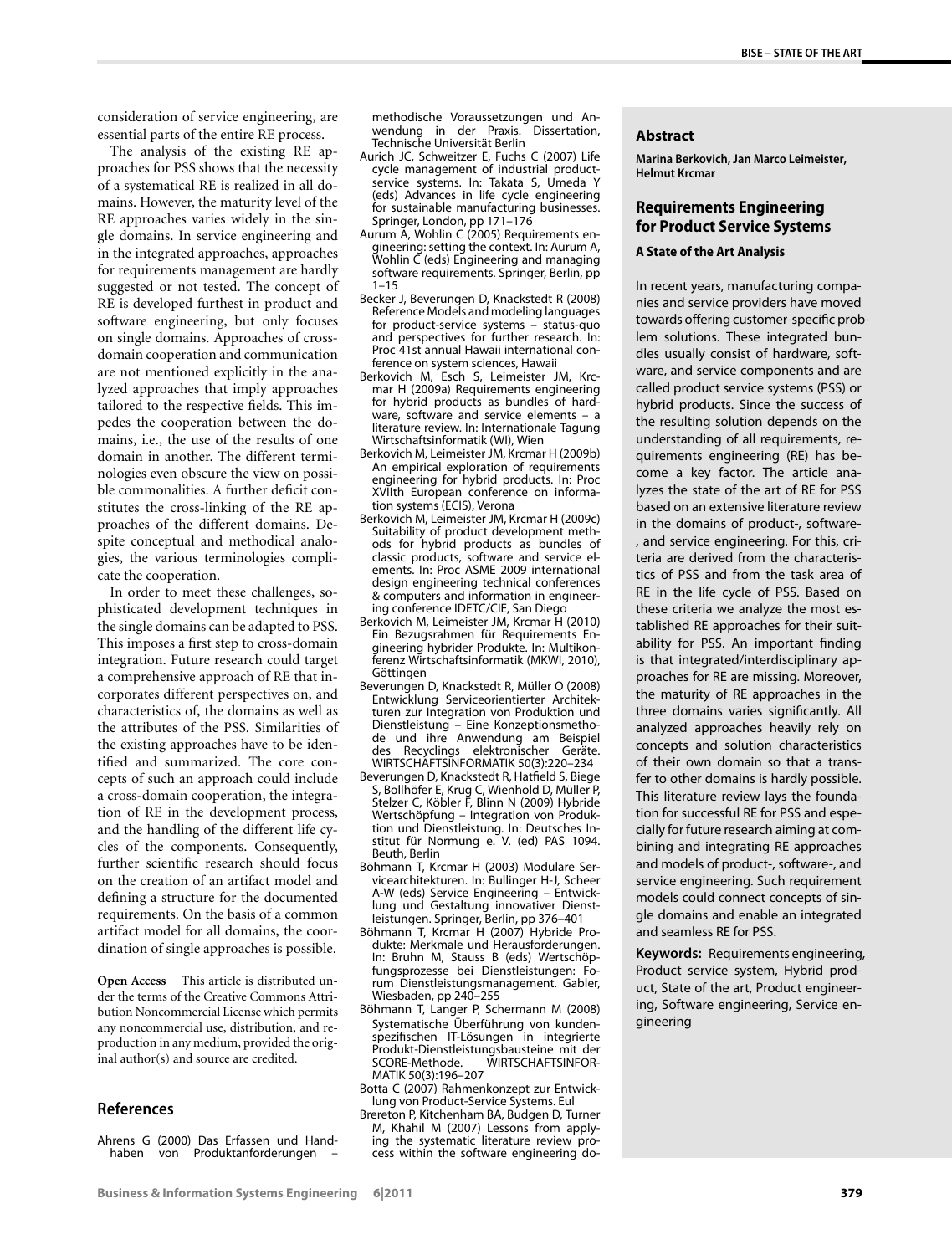consideration of service engineering, are essential parts of the entire RE process.

The analysis of the existing RE approaches for PSS shows that the necessity of a systematical RE is realized in all domains. However, the maturity level of the RE approaches varies widely in the single domains. In service engineering and in the integrated approaches, approaches for requirements management are hardly suggested or not tested. The concept of RE is developed furthest in product and software engineering, but only focuses on single domains. Approaches of crossdomain cooperation and communication are not mentioned explicitly in the analyzed approaches that imply approaches tailored to the respective fields. This impedes the cooperation between the domains, i.e., the use of the results of one domain in another. The different terminologies even obscure the view on possible commonalities. A further deficit constitutes the cross-linking of the RE approaches of the different domains. Despite conceptual and methodical analogies, the various terminologies complicate the cooperation.

In order to meet these challenges, sophisticated development techniques in the single domains can be adapted to PSS. This imposes a first step to cross-domain integration. Future research could target a comprehensive approach of RE that incorporates different perspectives on, and characteristics of, the domains as well as the attributes of the PSS. Similarities of the existing approaches have to be identified and summarized. The core concepts of such an approach could include a cross-domain cooperation, the integration of RE in the development process, and the handling of the different life cycles of the components. Consequently, further scientific research should focus on the creation of an artifact model and defining a structure for the documented requirements. On the basis of a common artifact model for all domains, the coordination of single approaches is possible.

<span id="page-10-10"></span>**Open Access** This article is distributed under the terms of the Creative Commons Attribution Noncommercial License which permits any noncommercial use, distribution, and reproduction in any medium, provided the original author(s) and source are credited.

#### **References**

Ahrens G (2000) Das Erfassen und Handhaben von Produktanforderungen –

<span id="page-10-11"></span><span id="page-10-8"></span>methodische Voraussetzungen und Anwendung in der Praxis. Dissertation, Technische Universität Berlin

- <span id="page-10-0"></span>Aurich JC, Schweitzer E, Fuchs C (2007) Life cycle management of industrial productservice systems. In: Takata S, Umeda Y (eds) Advances in life cycle engineering for sustainable manufacturing businesses. Springer, London, pp 171–176
- <span id="page-10-4"></span>Aurum A, Wohlin C (2005) Requirements engineering: setting the context. In: Aurum A, Wohlin C (eds) Engineering and managing software requirements. Springer, Berlin, pp  $1 - 15$
- <span id="page-10-5"></span>Becker J, Beverungen D, Knackstedt R (2008) Reference Models and modeling languages for product-service systems – status-quo and perspectives for further research. In: Proc 41st annual Hawaii international conference on system sciences, Hawaii
- <span id="page-10-3"></span>Berkovich M, Esch S, Leimeister JM, Krcmar H (2009a) Requirements engineering for hybrid products as bundles of hardware, software and service elements – a literature review. In: Internationale Tagung Wirtschaftsinformatik (WI), Wien
- <span id="page-10-6"></span>Berkovich M, Leimeister JM, Krcmar H (2009b) An empirical exploration of requirements engineering for hybrid products. In: Proc XVIIth European conference on information systems (ECIS), Verona
- <span id="page-10-12"></span>Berkovich M, Leimeister JM, Krcmar H (2009c) Suitability of product development methods for hybrid products as bundles of classic products, software and service elements. In: Proc ASME 2009 international design engineering technical conferences & computers and information in engineering conference IDETC/CIE, San Diego
- <span id="page-10-13"></span>Berkovich M, Leimeister JM, Krcmar H (2010) Ein Bezugsrahmen für Requirements Engineering hybrider Produkte. In: Multikonferenz Wirtschaftsinformatik (MKWI, 2010), Göttingen
- <span id="page-10-14"></span>Beverungen D, Knackstedt R, Müller O (2008) Entwicklung Serviceorientierter Architekturen zur Integration von Produktion und Dienstleistung – Eine Konzeptionsmethode und ihre Anwendung am Beispiel des Recyclings elektronischer Geräte. WIRTSCHAFTSINFORMATIK 50(3):220-234
- <span id="page-10-2"></span>Beverungen D, Knackstedt R, Hatfield S, Biege S, Bollhöfer E, Krug C, Wienhold D, Müller P, Stelzer C, Köbler F, Blinn N (2009) Hybride Wertschöpfung – Integration von Produktion und Dienstleistung. In: Deutsches Institut für Normung e. V. (ed) PAS 1094. Beuth, Berlin
- <span id="page-10-1"></span>Böhmann T, Krcmar H (2003) Modulare Servicearchitekturen. In: Bullinger H-J, Scheer A-W (eds) Service Engineering – Entwicklung und Gestaltung innovativer Dienstleistungen. Springer, Berlin, pp 376–401
- <span id="page-10-9"></span>Böhmann T, Krcmar H (2007) Hybride Produkte: Merkmale und Herausforderungen. In: Bruhn M, Stauss B (eds) Wertschöpfungsprozesse bei Dienstleistungen: Forum Dienstleistungsmanagement. Gabler, Wiesbaden, pp 240–255
- <span id="page-10-7"></span>Böhmann T, Langer P, Schermann M (2008) Systematische Überführung von kundenspezifischen IT-Lösungen in integrierte Produkt-Dienstleistungsbausteine mit der WIRTSCHAFTSINFOR-MATIK 50(3):196–207
- Botta C (2007) Rahmenkonzept zur Entwicklung von Product-Service Systems. Eul
- Brereton P, Kitchenham BA, Budgen D, Turner M, Khahil M (2007) Lessons from applying the systematic literature review process within the software engineering do-

#### **Abstract**

**Marina Berkovich, Jan Marco Leimeister, Helmut Krcmar**

#### **Requirements Engineering for Product Service Systems**

#### **A State of the Art Analysis**

In recent years, manufacturing companies and service providers have moved towards offering customer-specific problem solutions. These integrated bundles usually consist of hardware, software, and service components and are called product service systems (PSS) or hybrid products. Since the success of the resulting solution depends on the understanding of all requirements, requirements engineering (RE) has become a key factor. The article analyzes the state of the art of RE for PSS based on an extensive literature review in the domains of product-, software- , and service engineering. For this, criteria are derived from the characteristics of PSS and from the task area of RE in the life cycle of PSS. Based on these criteria we analyze the most established RE approaches for their suitability for PSS. An important finding is that integrated/interdisciplinary approaches for RE are missing. Moreover, the maturity of RE approaches in the three domains varies significantly. All analyzed approaches heavily rely on concepts and solution characteristics of their own domain so that a transfer to other domains is hardly possible. This literature review lays the foundation for successful RE for PSS and especially for future research aiming at combining and integrating RE approaches and models of product-, software-, and service engineering. Such requirement models could connect concepts of single domains and enable an integrated and seamless RE for PSS.

**Keywords:** Requirements engineering, Product service system, Hybrid product, State of the art, Product engineering, Software engineering, Service engineering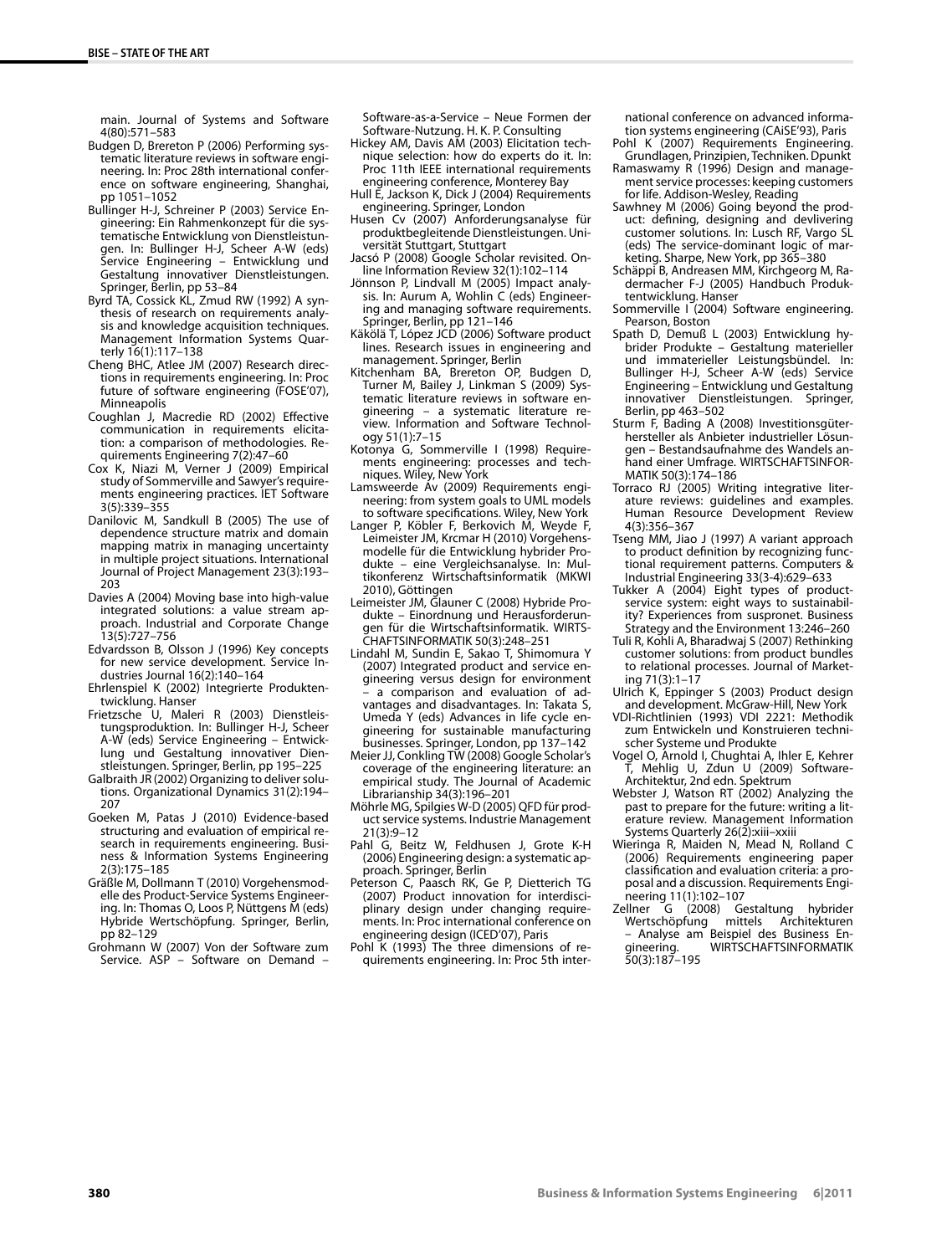<span id="page-11-29"></span><span id="page-11-9"></span>main. Journal of Systems and Software 4(80):571–583

- <span id="page-11-15"></span>Budgen D, Brereton P (2006) Performing systematic literature reviews in software engineering. In: Proc 28th international conference on software engineering, Shanghai, pp 1051–1052
- <span id="page-11-5"></span>Bullinger H-J, Schreiner P (2003) Service Engineering: Ein Rahmenkonzept für die systematische Entwicklung von Dienstleistungen. In: Bullinger H-J, Scheer A-W (eds) Service Engineering – Entwicklung und Gestaltung innovativer Dienstleistungen. Springer, Berlin, pp 53–84
- <span id="page-11-46"></span><span id="page-11-44"></span>Byrd TA, Cossick KL, Zmud RW (1992) A synthesis of research on requirements analysis and knowledge acquisition techniques. Management Information Systems Quarterly 16(1):117–138
- <span id="page-11-41"></span>Cheng BHC, Atlee JM (2007) Research directions in requirements engineering. In: Proc future of software engineering (FOSE'07), Minneapolis
- Coughlan J, Macredie RD (2002) Effective communication in requirements elicitation: a comparison of methodologies. Requirements Engineering 7(2):47–60
- <span id="page-11-2"></span>Cox K, Niazi M, Verner J (2009) Empirical study of Sommerville and Sawyer's requirements engineering practices. IET Software 3(5):339–355
- <span id="page-11-25"></span><span id="page-11-18"></span>Danilovic M, Sandkull B (2005) The use of dependence structure matrix and domain mapping matrix in managing uncertainty in multiple project situations. International Journal of Project Management 23(3):193– 203
- <span id="page-11-31"></span>Davies A (2004) Moving base into high-value integrated solutions: a value stream approach. Industrial and Corporate Change 13(5):727–756
- <span id="page-11-1"></span>Edvardsson B, Olsson J (1996) Key concepts for new service development. Service Industries Journal 16(2):140–164
- <span id="page-11-14"></span>Ehrlenspiel K (2002) Integrierte Produktentwicklung. Hanser
- <span id="page-11-33"></span>Frietzsche U, Maleri R (2003) Dienstleistungsproduktion. In: Bullinger H-J, Scheer A-W (eds) Service Engineering – Entwicklung und Gestaltung innovativer Dienstleistungen. Springer, Berlin, pp 195–225
- Galbraith JR (2002) Organizing to deliver solutions. Organizational Dynamics 31(2):194– 207
- <span id="page-11-3"></span>Goeken M, Patas J (2010) Evidence-based structuring and evaluation of empirical research in requirements engineering. Business & Information Systems Engineering 2(3):175–185
- Gräßle M, Dollmann T (2010) Vorgehensmodelle des Product-Service Systems Engineering. In: Thomas O, Loos P, Nüttgens M (eds) Hybride Wertschöpfung. Springer, Berlin, pp 82–129
- Grohmann W (2007) Von der Software zum Service. ASP – Software on Demand –

<span id="page-11-32"></span><span id="page-11-17"></span><span id="page-11-6"></span>Software-as-a-Service – Neue Formen der Software-Nutzung. H. K. P. Consulting

- <span id="page-11-45"></span><span id="page-11-13"></span>Hickey AM, Davis AM (2003) Elicitation technique selection: how do experts do it. In: Proc 11th IEEE international requirements engineering conference, Monterey Bay
- <span id="page-11-47"></span>Hull E, Jackson K, Dick J (2004) Requirements engineering. Springer, London
- <span id="page-11-11"></span>Husen Cv (2007) Anforderungsanalyse für produktbegleitende Dienstleistungen. Universität Stuttgart, Stuttgart
- Jacsó P (2008) Google Scholar revisited. Online Information Review 32(1):102–114
- Jönnson P, Lindvall M (2005) Impact analysis. In: Aurum A, Wohlin C (eds) Engineering and managing software requirements. Springer, Berlin, pp 121–146
- <span id="page-11-28"></span><span id="page-11-24"></span>Käkölä T, López JCD (2006) Software product lines. Research issues in engineering and management. Springer, Berlin
- <span id="page-11-7"></span>Kitchenham BA, Brereton OP, Budgen D, Turner M, Bailey J, Linkman S (2009) Systematic literature reviews in software engineering – a systematic literature review. Information and Software Technology 51(1):7–15
- <span id="page-11-0"></span>Kotonya G, Sommerville I (1998) Requirements engineering: processes and techniques. Wiley, New York
- <span id="page-11-22"></span>Lamsweerde Av (2009) Requirements engineering: from system goals to UML models to software specifications. Wiley, New York
- Langer P, Köbler F, Berkovich M, Weyde F, Leimeister JM, Krcmar H (2010) Vorgehensmodelle für die Entwicklung hybrider Produkte – eine Vergleichsanalyse. In: Multikonferenz Wirtschaftsinformatik (MKWI 2010), Göttingen
- <span id="page-11-12"></span>Leimeister JM, Glauner C (2008) Hybride Produkte – Einordnung und Herausforderungen für die Wirtschaftsinformatik. WIRTS-CHAFTSINFORMATIK 50(3):248–251
- <span id="page-11-48"></span><span id="page-11-23"></span>Lindahl M, Sundin E, Sakao T, Shimomura Y (2007) Integrated product and service engineering versus design for environment – a comparison and evaluation of advantages and disadvantages. In: Takata S, Umeda Y (eds) Advances in life cycle engineering for sustainable manufacturing businesses. Springer, London, pp 137–142
- <span id="page-11-40"></span>Meier JJ, Conkling TW (2008) Google Scholar's coverage of the engineering literature: an empirical study. The Journal of Academic Librarianship 34(3):196–201
- <span id="page-11-19"></span>Möhrle MG, Spilgies W-D (2005) QFD für product service systems. Industrie Management 21(3):9–12
- Pahl G, Beitz W, Feldhusen J, Grote K-H (2006) Engineering design: a systematic approach. Springer, Berlin
- Peterson C, Paasch RK, Ge P, Dietterich TG (2007) Product innovation for interdisciplinary design under changing requirements. In: Proc international conference on engineering design (ICED'07), Paris
- Pohl K (1993) The three dimensions of requirements engineering. In: Proc 5th inter-

<span id="page-11-35"></span><span id="page-11-21"></span><span id="page-11-20"></span>national conference on advanced information systems engineering (CAiSE'93), Paris

- <span id="page-11-43"></span><span id="page-11-42"></span>Pohl K (2007) Requirements Engineering. Grundlagen, Prinzipien, Techniken. Dpunkt Ramaswamy R (1996) Design and manage
	- ment service processes: keeping customers for life. Addison-Wesley, Reading
- <span id="page-11-26"></span>Sawhney M (2006) Going beyond the product: defining, designing and devlivering customer solutions. In: Lusch RF, Vargo SL (eds) The service-dominant logic of marketing. Sharpe, New York, pp 365–380
- <span id="page-11-4"></span>Schäppi B, Andreasen MM, Kirchgeorg M, Radermacher F-J (2005) Handbuch Produktentwicklung. Hanser
- Sommerville I (2004) Software engineering. Pearson, Boston
- <span id="page-11-10"></span>Spath D, Demuß L (2003) Entwicklung hybrider Produkte – Gestaltung materieller und immaterieller Leistungsbündel. In: Bullinger H-J, Scheer A-W (eds) Service Engineering – Entwicklung und Gestaltung innovativer Dienstleistungen. Springer, Berlin, pp 463–502
- <span id="page-11-39"></span><span id="page-11-36"></span>Sturm F, Bading A (2008) Investitionsaüterhersteller als Anbieter industrieller Lösungen – Bestandsaufnahme des Wandels anhand einer Umfrage. WIRTSCHAFTSINFOR-MATIK 50(3):174–186
- <span id="page-11-34"></span>Torraco RJ (2005) Writing integrative literature reviews: guidelines and examples. Human Resource Development Review 4(3):356–367
- <span id="page-11-30"></span>Tseng MM, Jiao J (1997) A variant approach to product definition by recognizing functional requirement patterns. Computers & Industrial Engineering 33(3-4):629–633
- <span id="page-11-38"></span><span id="page-11-27"></span>Tukker A (2004) Eight types of productservice system: eight ways to sustainability? Experiences from suspronet. Business Strategy and the Environment 13:246–260
- <span id="page-11-8"></span>Tuli R, Kohli A, Bharadwaj S (2007) Rethinking customer solutions: from product bundles to relational processes. Journal of Marketing 71(3):1–17
- <span id="page-11-16"></span>Ulrich K, Eppinger S (2003) Product design and development. McGraw-Hill, New York
- VDI-Richtlinien (1993) VDI 2221: Methodik zum Entwickeln und Konstruieren technischer Systeme und Produkte
- <span id="page-11-37"></span>Vogel O, Arnold I, Chughtai A, Ihler E, Kehrer T, Mehlig U, Zdun U (2009) Software-Architektur, 2nd edn. Spektrum
- Webster J, Watson RT (2002) Analyzing the past to prepare for the future: writing a literature review. Management Information Systems Quarterly 26(2):xiii–xxiii
- Wieringa R, Maiden N, Mead N, Rolland C (2006) Requirements engineering paper classification and evaluation criteria: a proposal and a discussion. Requirements Engineering 11(1):102-107<br>Zellner G (2008) Ge
- ellner G (2008) Gestaltung hybrider<br>Wertschöpfung mittels Architekturen mittels Architekturen – Analyse am Beispiel des Business En-WIRTSCHAFTSINFORMATIK 50(3):187–195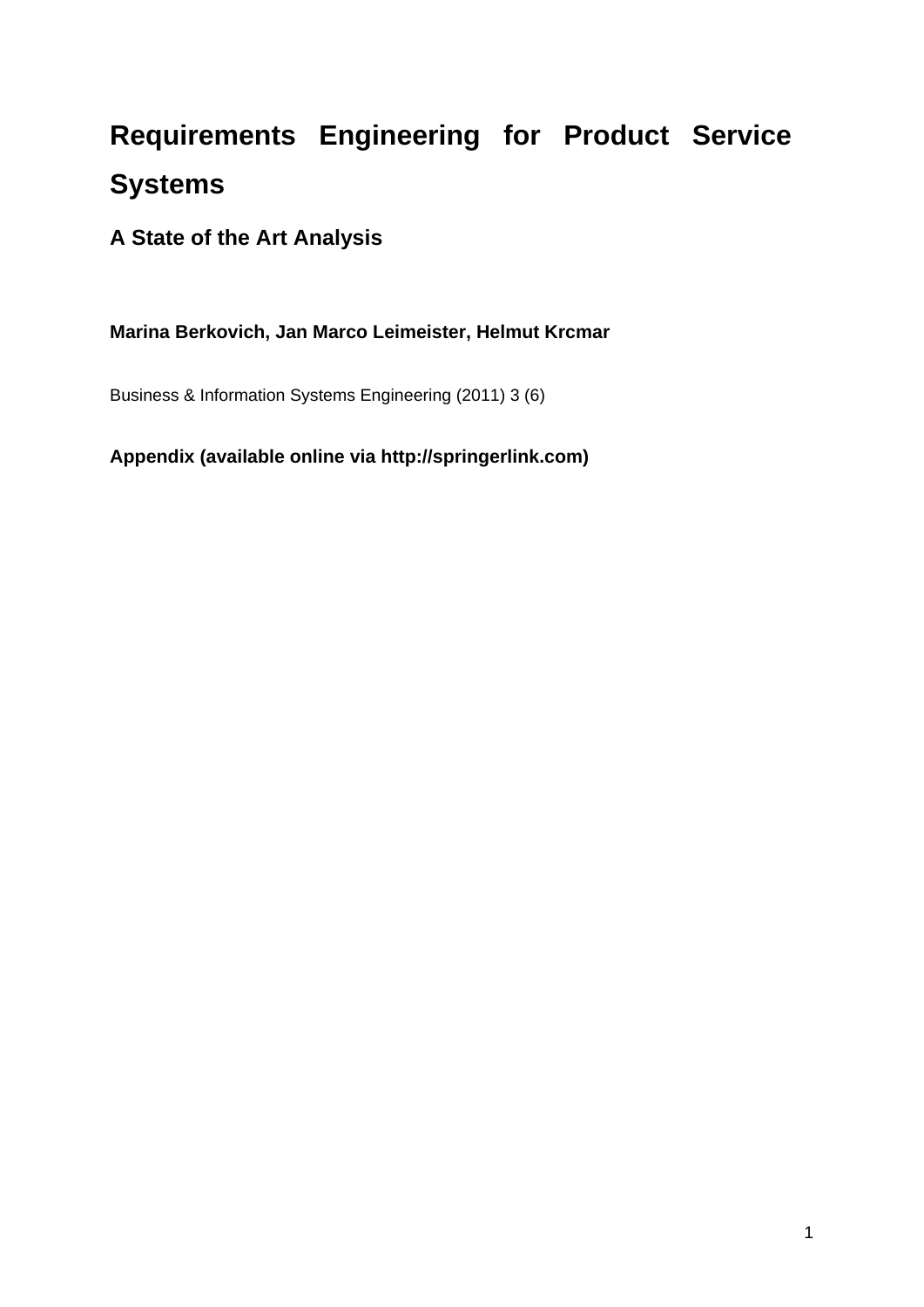# **Requirements Engineering for Product Service Systems**

**A State of the Art Analysis** 

**Marina Berkovich, Jan Marco Leimeister, Helmut Krcmar** 

Business & Information Systems Engineering (2011) 3 (6)

**Appendix (available online via http://springerlink.com)**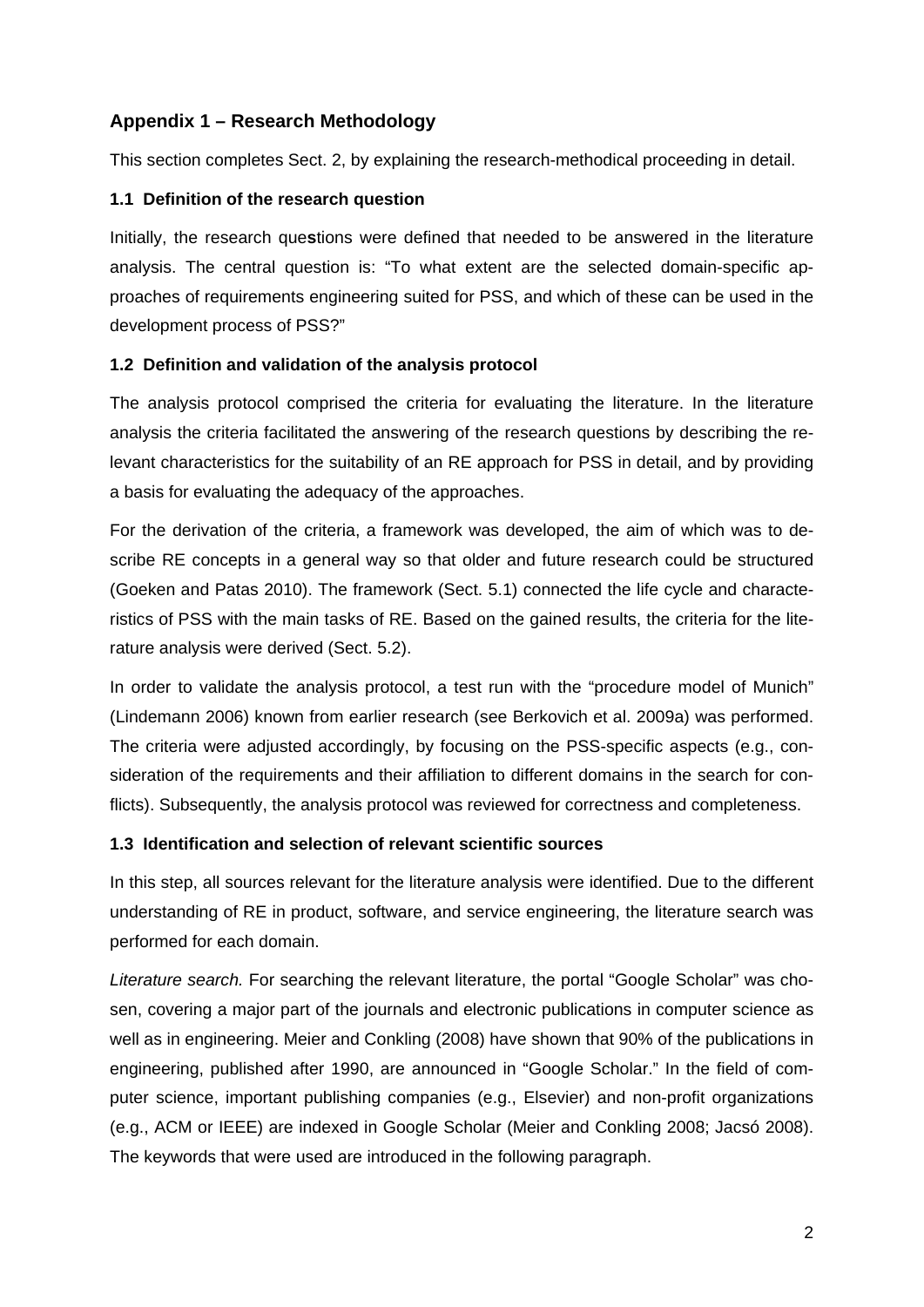## **Appendix 1 – Research Methodology**

This section completes Sect. 2, by explaining the research-methodical proceeding in detail.

## **1.1 Definition of the research question**

Initially, the research que**s**tions were defined that needed to be answered in the literature analysis. The central question is: "To what extent are the selected domain-specific approaches of requirements engineering suited for PSS, and which of these can be used in the development process of PSS?"

## **1.2 Definition and validation of the analysis protocol**

The analysis protocol comprised the criteria for evaluating the literature. In the literature analysis the criteria facilitated the answering of the research questions by describing the relevant characteristics for the suitability of an RE approach for PSS in detail, and by providing a basis for evaluating the adequacy of the approaches.

For the derivation of the criteria, a framework was developed, the aim of which was to describe RE concepts in a general way so that older and future research could be structured (Goeken and Patas 2010). The framework (Sect. 5.1) connected the life cycle and characteristics of PSS with the main tasks of RE. Based on the gained results, the criteria for the literature analysis were derived (Sect. 5.2).

In order to validate the analysis protocol, a test run with the "procedure model of Munich" (Lindemann 2006) known from earlier research (see Berkovich et al. 2009a) was performed. The criteria were adjusted accordingly, by focusing on the PSS-specific aspects (e.g., consideration of the requirements and their affiliation to different domains in the search for conflicts). Subsequently, the analysis protocol was reviewed for correctness and completeness.

## **1.3 Identification and selection of relevant scientific sources**

In this step, all sources relevant for the literature analysis were identified. Due to the different understanding of RE in product, software, and service engineering, the literature search was performed for each domain.

*Literature search.* For searching the relevant literature, the portal "Google Scholar" was chosen, covering a major part of the journals and electronic publications in computer science as well as in engineering. Meier and Conkling (2008) have shown that 90% of the publications in engineering, published after 1990, are announced in "Google Scholar." In the field of computer science, important publishing companies (e.g., Elsevier) and non-profit organizations (e.g., ACM or IEEE) are indexed in Google Scholar (Meier and Conkling 2008; Jacsó 2008). The keywords that were used are introduced in the following paragraph.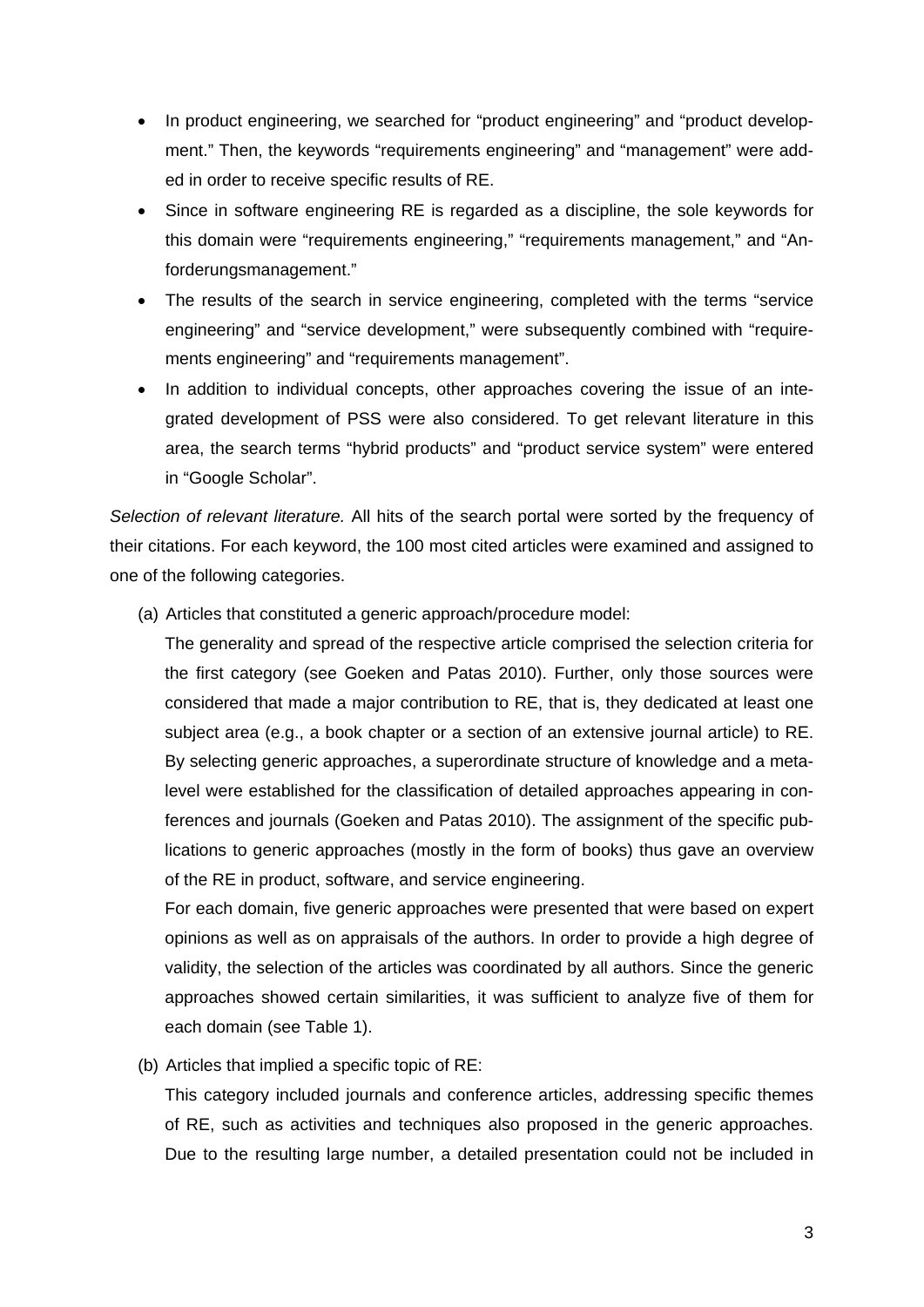- In product engineering, we searched for "product engineering" and "product development." Then, the keywords "requirements engineering" and "management" were added in order to receive specific results of RE.
- Since in software engineering RE is regarded as a discipline, the sole keywords for this domain were "requirements engineering," "requirements management," and "Anforderungsmanagement."
- The results of the search in service engineering, completed with the terms "service engineering" and "service development," were subsequently combined with "requirements engineering" and "requirements management".
- In addition to individual concepts, other approaches covering the issue of an integrated development of PSS were also considered. To get relevant literature in this area, the search terms "hybrid products" and "product service system" were entered in "Google Scholar".

*Selection of relevant literature.* All hits of the search portal were sorted by the frequency of their citations. For each keyword, the 100 most cited articles were examined and assigned to one of the following categories.

(a) Articles that constituted a generic approach/procedure model:

The generality and spread of the respective article comprised the selection criteria for the first category (see Goeken and Patas 2010). Further, only those sources were considered that made a major contribution to RE, that is, they dedicated at least one subject area (e.g., a book chapter or a section of an extensive journal article) to RE. By selecting generic approaches, a superordinate structure of knowledge and a metalevel were established for the classification of detailed approaches appearing in conferences and journals (Goeken and Patas 2010). The assignment of the specific publications to generic approaches (mostly in the form of books) thus gave an overview of the RE in product, software, and service engineering.

For each domain, five generic approaches were presented that were based on expert opinions as well as on appraisals of the authors. In order to provide a high degree of validity, the selection of the articles was coordinated by all authors. Since the generic approaches showed certain similarities, it was sufficient to analyze five of them for each domain (see Table 1).

(b) Articles that implied a specific topic of RE:

This category included journals and conference articles, addressing specific themes of RE, such as activities and techniques also proposed in the generic approaches. Due to the resulting large number, a detailed presentation could not be included in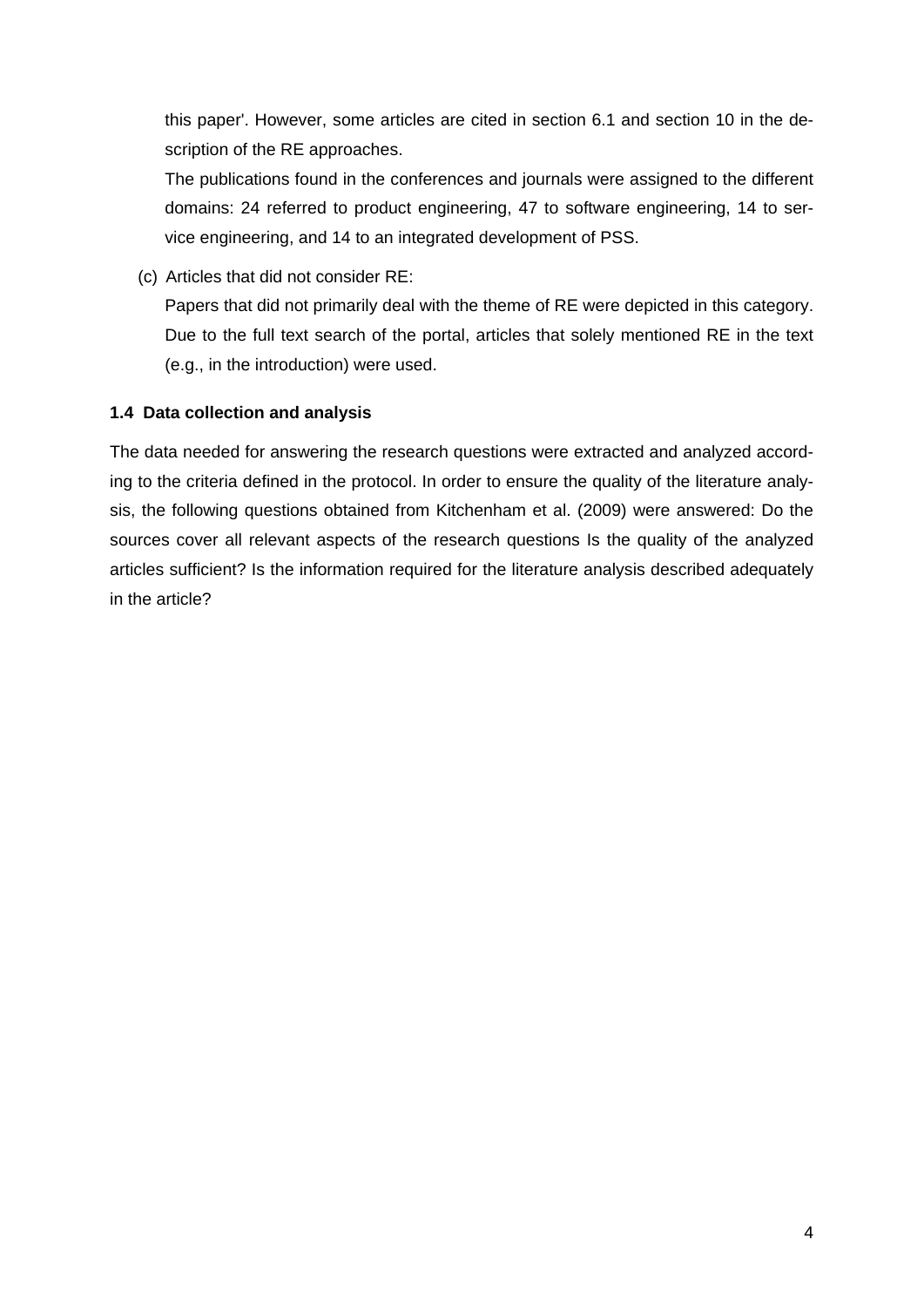this paper'. However, some articles are cited in section 6.1 and section 10 in the description of the RE approaches.

The publications found in the conferences and journals were assigned to the different domains: 24 referred to product engineering, 47 to software engineering, 14 to service engineering, and 14 to an integrated development of PSS.

(c) Articles that did not consider RE:

Papers that did not primarily deal with the theme of RE were depicted in this category. Due to the full text search of the portal, articles that solely mentioned RE in the text (e.g., in the introduction) were used.

## **1.4 Data collection and analysis**

The data needed for answering the research questions were extracted and analyzed according to the criteria defined in the protocol. In order to ensure the quality of the literature analysis, the following questions obtained from Kitchenham et al. (2009) were answered: Do the sources cover all relevant aspects of the research questions Is the quality of the analyzed articles sufficient? Is the information required for the literature analysis described adequately in the article?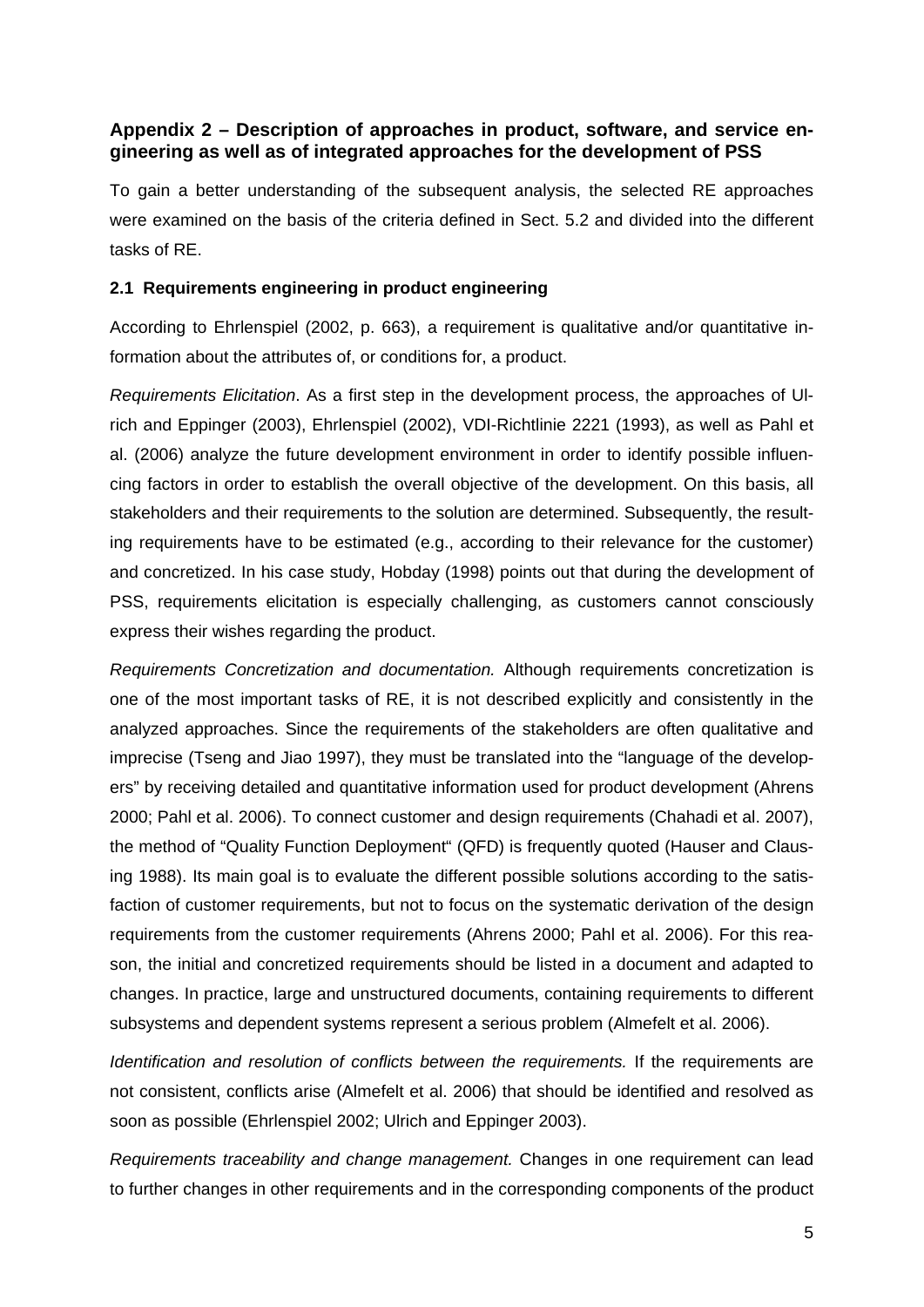## **Appendix 2 – Description of approaches in product, software, and service engineering as well as of integrated approaches for the development of PSS**

To gain a better understanding of the subsequent analysis, the selected RE approaches were examined on the basis of the criteria defined in Sect. 5.2 and divided into the different tasks of RE.

## **2.1 Requirements engineering in product engineering**

According to Ehrlenspiel (2002, p. 663), a requirement is qualitative and/or quantitative information about the attributes of, or conditions for, a product.

*Requirements Elicitation*. As a first step in the development process, the approaches of Ulrich and Eppinger (2003), Ehrlenspiel (2002), VDI-Richtlinie 2221 (1993), as well as Pahl et al. (2006) analyze the future development environment in order to identify possible influencing factors in order to establish the overall objective of the development. On this basis, all stakeholders and their requirements to the solution are determined. Subsequently, the resulting requirements have to be estimated (e.g., according to their relevance for the customer) and concretized. In his case study, Hobday (1998) points out that during the development of PSS, requirements elicitation is especially challenging, as customers cannot consciously express their wishes regarding the product.

*Requirements Concretization and documentation.* Although requirements concretization is one of the most important tasks of RE, it is not described explicitly and consistently in the analyzed approaches. Since the requirements of the stakeholders are often qualitative and imprecise (Tseng and Jiao 1997), they must be translated into the "language of the developers" by receiving detailed and quantitative information used for product development (Ahrens 2000; Pahl et al. 2006). To connect customer and design requirements (Chahadi et al. 2007), the method of "Quality Function Deployment" (QFD) is frequently quoted (Hauser and Clausing 1988). Its main goal is to evaluate the different possible solutions according to the satisfaction of customer requirements, but not to focus on the systematic derivation of the design requirements from the customer requirements (Ahrens 2000; Pahl et al. 2006). For this reason, the initial and concretized requirements should be listed in a document and adapted to changes. In practice, large and unstructured documents, containing requirements to different subsystems and dependent systems represent a serious problem (Almefelt et al. 2006).

*Identification and resolution of conflicts between the requirements.* If the requirements are not consistent, conflicts arise (Almefelt et al. 2006) that should be identified and resolved as soon as possible (Ehrlenspiel 2002; Ulrich and Eppinger 2003).

*Requirements traceability and change management.* Changes in one requirement can lead to further changes in other requirements and in the corresponding components of the product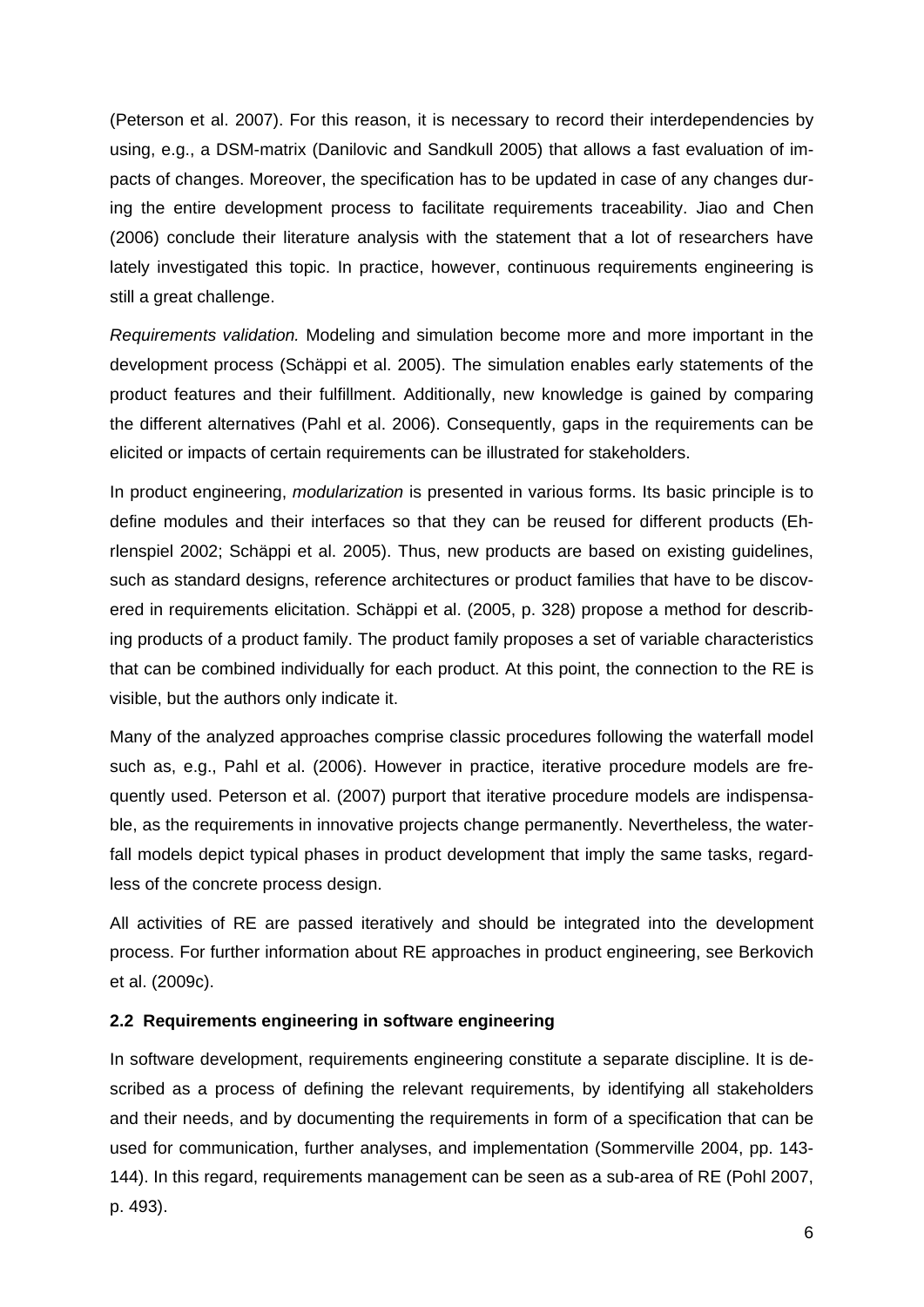(Peterson et al. 2007). For this reason, it is necessary to record their interdependencies by using, e.g., a DSM-matrix (Danilovic and Sandkull 2005) that allows a fast evaluation of impacts of changes. Moreover, the specification has to be updated in case of any changes during the entire development process to facilitate requirements traceability. Jiao and Chen (2006) conclude their literature analysis with the statement that a lot of researchers have lately investigated this topic. In practice, however, continuous requirements engineering is still a great challenge.

*Requirements validation.* Modeling and simulation become more and more important in the development process (Schäppi et al. 2005). The simulation enables early statements of the product features and their fulfillment. Additionally, new knowledge is gained by comparing the different alternatives (Pahl et al. 2006). Consequently, gaps in the requirements can be elicited or impacts of certain requirements can be illustrated for stakeholders.

In product engineering, *modularization* is presented in various forms. Its basic principle is to define modules and their interfaces so that they can be reused for different products (Ehrlenspiel 2002; Schäppi et al. 2005). Thus, new products are based on existing guidelines, such as standard designs, reference architectures or product families that have to be discovered in requirements elicitation. Schäppi et al. (2005, p. 328) propose a method for describing products of a product family. The product family proposes a set of variable characteristics that can be combined individually for each product. At this point, the connection to the RE is visible, but the authors only indicate it.

Many of the analyzed approaches comprise classic procedures following the waterfall model such as, e.g., Pahl et al. (2006). However in practice, iterative procedure models are frequently used. Peterson et al. (2007) purport that iterative procedure models are indispensable, as the requirements in innovative projects change permanently. Nevertheless, the waterfall models depict typical phases in product development that imply the same tasks, regardless of the concrete process design.

All activities of RE are passed iteratively and should be integrated into the development process. For further information about RE approaches in product engineering, see Berkovich et al. (2009c).

## **2.2 Requirements engineering in software engineering**

In software development, requirements engineering constitute a separate discipline. It is described as a process of defining the relevant requirements, by identifying all stakeholders and their needs, and by documenting the requirements in form of a specification that can be used for communication, further analyses, and implementation (Sommerville 2004, pp. 143- 144). In this regard, requirements management can be seen as a sub-area of RE (Pohl 2007, p. 493).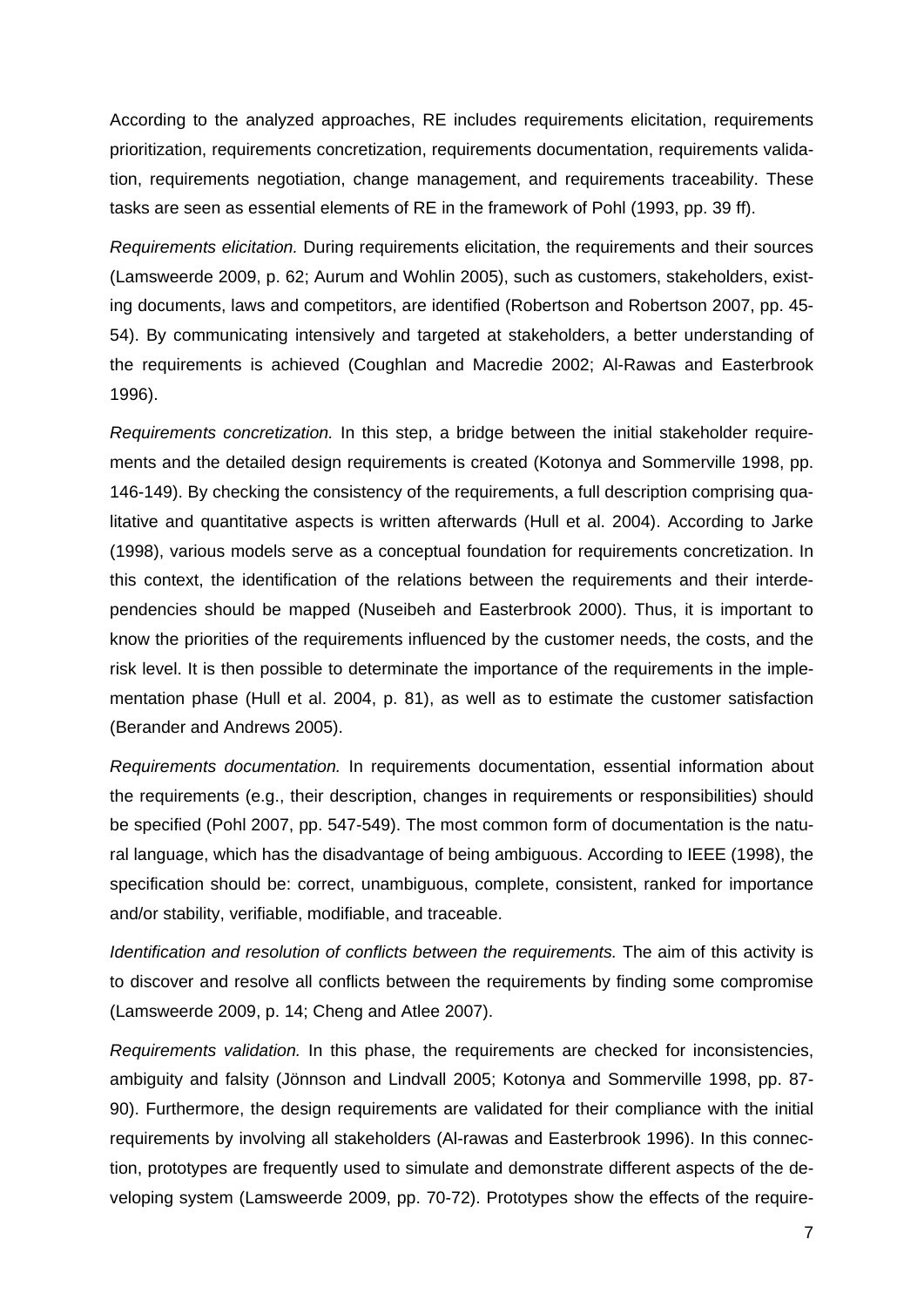According to the analyzed approaches, RE includes requirements elicitation, requirements prioritization, requirements concretization, requirements documentation, requirements validation, requirements negotiation, change management, and requirements traceability. These tasks are seen as essential elements of RE in the framework of Pohl (1993, pp. 39 ff).

*Requirements elicitation.* During requirements elicitation, the requirements and their sources (Lamsweerde 2009, p. 62; Aurum and Wohlin 2005), such as customers, stakeholders, existing documents, laws and competitors, are identified (Robertson and Robertson 2007, pp. 45- 54). By communicating intensively and targeted at stakeholders, a better understanding of the requirements is achieved (Coughlan and Macredie 2002; Al-Rawas and Easterbrook 1996).

*Requirements concretization.* In this step, a bridge between the initial stakeholder requirements and the detailed design requirements is created (Kotonya and Sommerville 1998, pp. 146-149). By checking the consistency of the requirements, a full description comprising qualitative and quantitative aspects is written afterwards (Hull et al. 2004). According to Jarke (1998), various models serve as a conceptual foundation for requirements concretization. In this context, the identification of the relations between the requirements and their interdependencies should be mapped (Nuseibeh and Easterbrook 2000). Thus, it is important to know the priorities of the requirements influenced by the customer needs, the costs, and the risk level. It is then possible to determinate the importance of the requirements in the implementation phase (Hull et al. 2004, p. 81), as well as to estimate the customer satisfaction (Berander and Andrews 2005).

*Requirements documentation.* In requirements documentation, essential information about the requirements (e.g., their description, changes in requirements or responsibilities) should be specified (Pohl 2007, pp. 547-549). The most common form of documentation is the natural language, which has the disadvantage of being ambiguous. According to IEEE (1998), the specification should be: correct, unambiguous, complete, consistent, ranked for importance and/or stability, verifiable, modifiable, and traceable.

*Identification and resolution of conflicts between the requirements.* The aim of this activity is to discover and resolve all conflicts between the requirements by finding some compromise (Lamsweerde 2009, p. 14; Cheng and Atlee 2007).

*Requirements validation.* In this phase, the requirements are checked for inconsistencies, ambiguity and falsity (Jönnson and Lindvall 2005; Kotonya and Sommerville 1998, pp. 87- 90). Furthermore, the design requirements are validated for their compliance with the initial requirements by involving all stakeholders (Al-rawas and Easterbrook 1996). In this connection, prototypes are frequently used to simulate and demonstrate different aspects of the developing system (Lamsweerde 2009, pp. 70-72). Prototypes show the effects of the require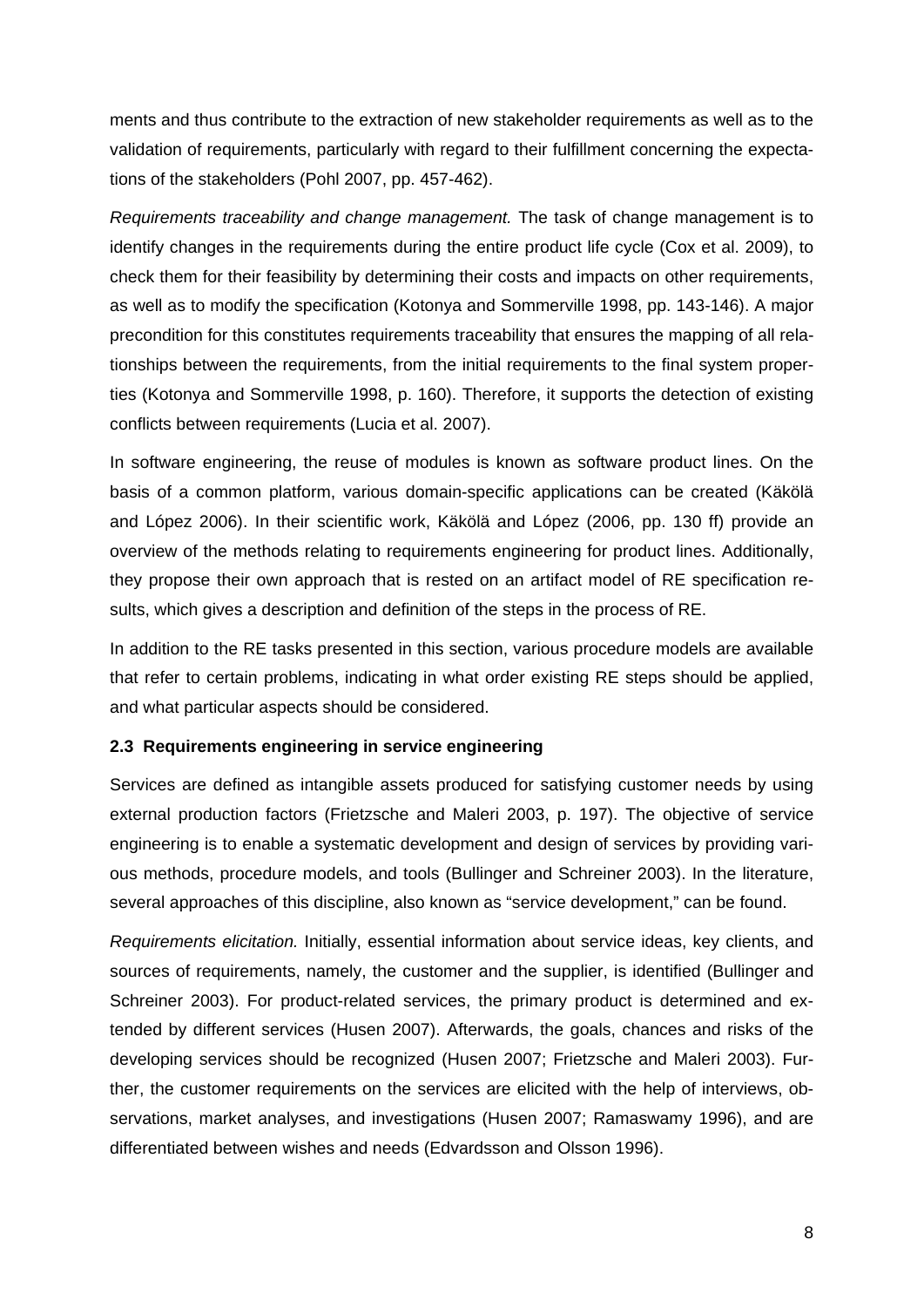ments and thus contribute to the extraction of new stakeholder requirements as well as to the validation of requirements, particularly with regard to their fulfillment concerning the expectations of the stakeholders (Pohl 2007, pp. 457-462).

*Requirements traceability and change management.* The task of change management is to identify changes in the requirements during the entire product life cycle (Cox et al. 2009), to check them for their feasibility by determining their costs and impacts on other requirements, as well as to modify the specification (Kotonya and Sommerville 1998, pp. 143-146). A major precondition for this constitutes requirements traceability that ensures the mapping of all relationships between the requirements, from the initial requirements to the final system properties (Kotonya and Sommerville 1998, p. 160). Therefore, it supports the detection of existing conflicts between requirements (Lucia et al. 2007).

In software engineering, the reuse of modules is known as software product lines. On the basis of a common platform, various domain-specific applications can be created (Käkölä and López 2006). In their scientific work, Käkölä and López (2006, pp. 130 ff) provide an overview of the methods relating to requirements engineering for product lines. Additionally, they propose their own approach that is rested on an artifact model of RE specification results, which gives a description and definition of the steps in the process of RE.

In addition to the RE tasks presented in this section, various procedure models are available that refer to certain problems, indicating in what order existing RE steps should be applied, and what particular aspects should be considered.

## **2.3 Requirements engineering in service engineering**

Services are defined as intangible assets produced for satisfying customer needs by using external production factors (Frietzsche and Maleri 2003, p. 197). The objective of service engineering is to enable a systematic development and design of services by providing various methods, procedure models, and tools (Bullinger and Schreiner 2003). In the literature, several approaches of this discipline, also known as "service development," can be found.

*Requirements elicitation.* Initially, essential information about service ideas, key clients, and sources of requirements, namely, the customer and the supplier, is identified (Bullinger and Schreiner 2003). For product-related services, the primary product is determined and extended by different services (Husen 2007). Afterwards, the goals, chances and risks of the developing services should be recognized (Husen 2007; Frietzsche and Maleri 2003). Further, the customer requirements on the services are elicited with the help of interviews, observations, market analyses, and investigations (Husen 2007; Ramaswamy 1996), and are differentiated between wishes and needs (Edvardsson and Olsson 1996).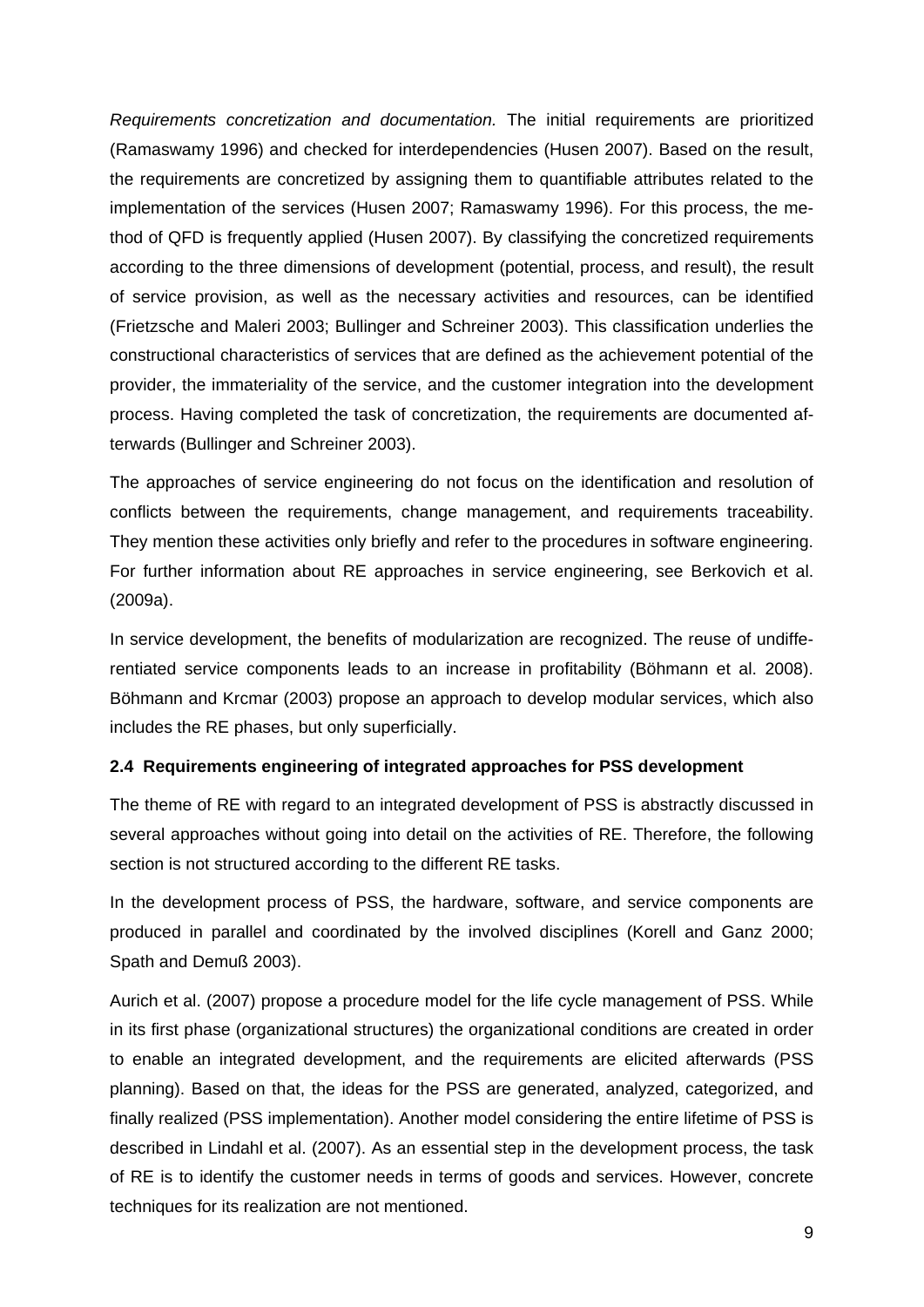*Requirements concretization and documentation.* The initial requirements are prioritized (Ramaswamy 1996) and checked for interdependencies (Husen 2007). Based on the result, the requirements are concretized by assigning them to quantifiable attributes related to the implementation of the services (Husen 2007; Ramaswamy 1996). For this process, the method of QFD is frequently applied (Husen 2007). By classifying the concretized requirements according to the three dimensions of development (potential, process, and result), the result of service provision, as well as the necessary activities and resources, can be identified (Frietzsche and Maleri 2003; Bullinger and Schreiner 2003). This classification underlies the constructional characteristics of services that are defined as the achievement potential of the provider, the immateriality of the service, and the customer integration into the development process. Having completed the task of concretization, the requirements are documented afterwards (Bullinger and Schreiner 2003).

The approaches of service engineering do not focus on the identification and resolution of conflicts between the requirements, change management, and requirements traceability. They mention these activities only briefly and refer to the procedures in software engineering. For further information about RE approaches in service engineering, see Berkovich et al. (2009a).

In service development, the benefits of modularization are recognized. The reuse of undifferentiated service components leads to an increase in profitability (Böhmann et al. 2008). Böhmann and Krcmar (2003) propose an approach to develop modular services, which also includes the RE phases, but only superficially.

## **2.4 Requirements engineering of integrated approaches for PSS development**

The theme of RE with regard to an integrated development of PSS is abstractly discussed in several approaches without going into detail on the activities of RE. Therefore, the following section is not structured according to the different RE tasks.

In the development process of PSS, the hardware, software, and service components are produced in parallel and coordinated by the involved disciplines (Korell and Ganz 2000; Spath and Demuß 2003).

Aurich et al. (2007) propose a procedure model for the life cycle management of PSS. While in its first phase (organizational structures) the organizational conditions are created in order to enable an integrated development, and the requirements are elicited afterwards (PSS planning). Based on that, the ideas for the PSS are generated, analyzed, categorized, and finally realized (PSS implementation). Another model considering the entire lifetime of PSS is described in Lindahl et al. (2007). As an essential step in the development process, the task of RE is to identify the customer needs in terms of goods and services. However, concrete techniques for its realization are not mentioned.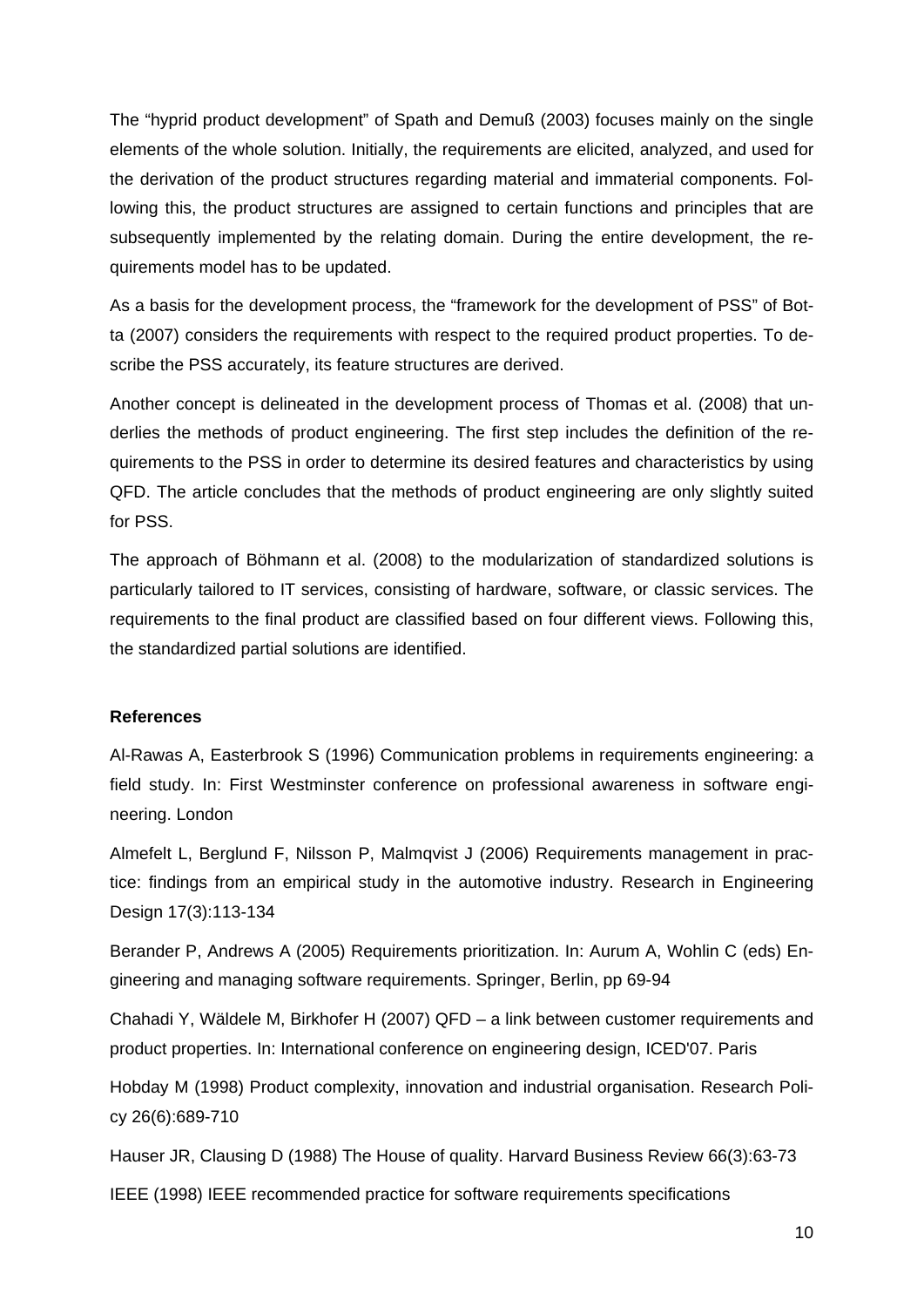The "hyprid product development" of Spath and Demuß (2003) focuses mainly on the single elements of the whole solution. Initially, the requirements are elicited, analyzed, and used for the derivation of the product structures regarding material and immaterial components. Following this, the product structures are assigned to certain functions and principles that are subsequently implemented by the relating domain. During the entire development, the requirements model has to be updated.

As a basis for the development process, the "framework for the development of PSS" of Botta (2007) considers the requirements with respect to the required product properties. To describe the PSS accurately, its feature structures are derived.

Another concept is delineated in the development process of Thomas et al. (2008) that underlies the methods of product engineering. The first step includes the definition of the requirements to the PSS in order to determine its desired features and characteristics by using QFD. The article concludes that the methods of product engineering are only slightly suited for PSS.

The approach of Böhmann et al. (2008) to the modularization of standardized solutions is particularly tailored to IT services, consisting of hardware, software, or classic services. The requirements to the final product are classified based on four different views. Following this, the standardized partial solutions are identified.

## **References**

Al-Rawas A, Easterbrook S (1996) Communication problems in requirements engineering: a field study. In: First Westminster conference on professional awareness in software engineering. London

Almefelt L, Berglund F, Nilsson P, Malmqvist J (2006) Requirements management in practice: findings from an empirical study in the automotive industry. Research in Engineering Design 17(3):113-134

Berander P, Andrews A (2005) Requirements prioritization. In: Aurum A, Wohlin C (eds) Engineering and managing software requirements. Springer, Berlin, pp 69-94

Chahadi Y, Wäldele M, Birkhofer H (2007) QFD – a link between customer requirements and product properties. In: International conference on engineering design, ICED'07. Paris

Hobday M (1998) Product complexity, innovation and industrial organisation. Research Policy 26(6):689-710

Hauser JR, Clausing D (1988) The House of quality. Harvard Business Review 66(3):63-73

IEEE (1998) IEEE recommended practice for software requirements specifications